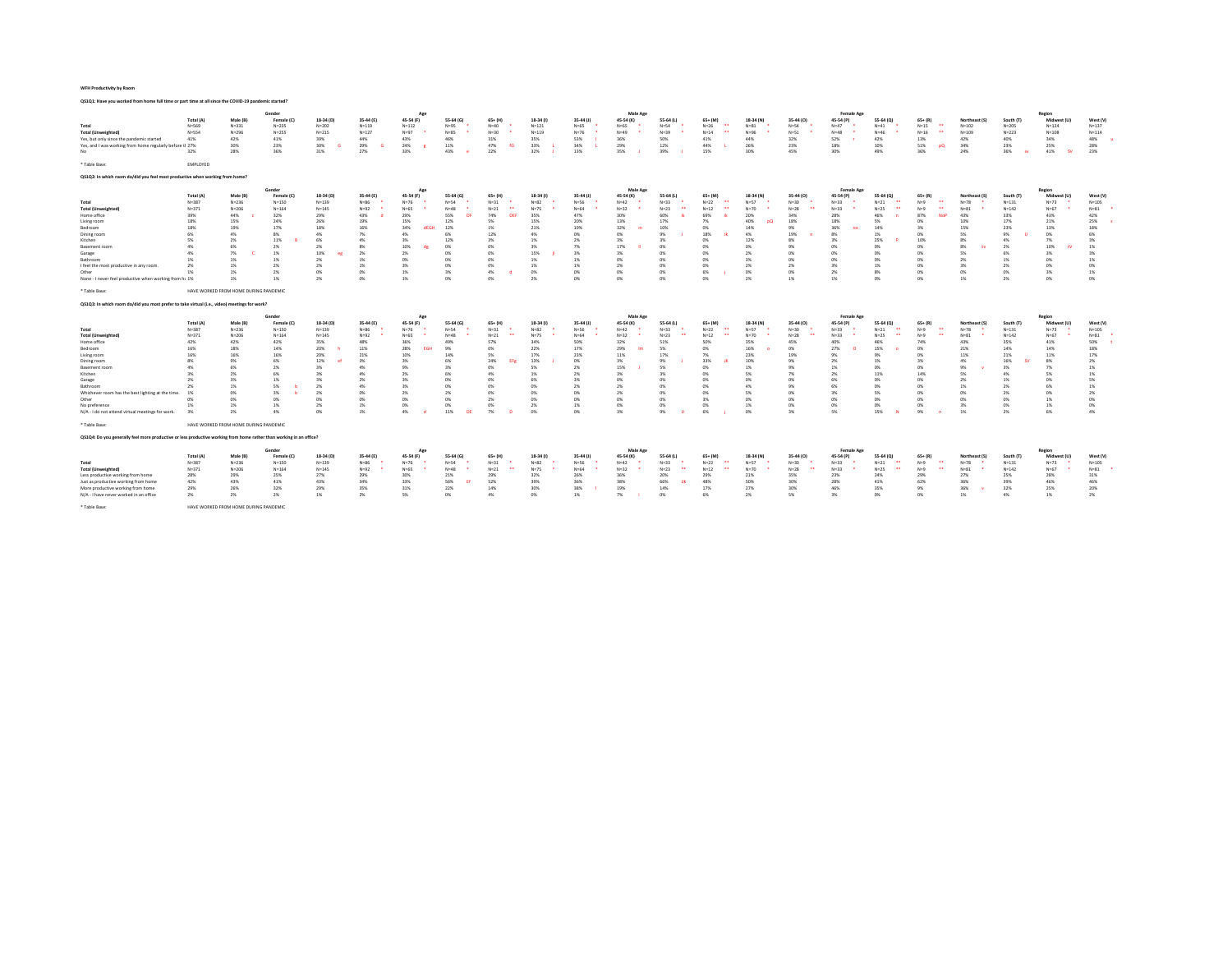| Male Age<br>Female Age<br>Gender<br>Region<br>Ap<br>18-34 (D)<br>45-54 (F)<br>18-34 (1)<br>Midwest (L<br>West (V)<br>Total (A)<br>Male (B)<br>Female (C<br>35-44 (E)<br>55-64 (G)<br>$65+$ (H)<br>35-44 (J)<br>45-54 (K)<br>55-64 (L)<br>$65+ (M)$<br>18-34 (N)<br>35-44 (0)<br>45-54 (P)<br>55-64 (Q)<br>$65+ (R)$<br>Northeast (S)<br>South (T)<br>$N=65$<br>$N=26$<br>$\overline{a}$<br>$N = 81$<br>$N = 54$<br>$\bullet\bullet$<br>$N = 137$<br>Total<br>$N = 569$<br>$N = 331$<br>$N = 235$<br>$N = 202$<br>$N = 119$<br>$N = 112$<br>$N = 95$<br>$N = 40$<br>$N = 121$<br>$N = 65$<br>$N = 54$<br>$N=47$<br>$N = 41$<br>$N=15$<br>$N = 102$<br>$N = 205$<br>$N = 124$<br><b>Total (Unweighted)</b><br>$N = 554$<br>$N = 255$<br>$N = 215$<br>$N = 127$<br>$N = 97$<br>$N = 30$<br>$N = 119$<br>$N=76$<br>$N = 14$<br>$\overline{a}$<br>$N = 96$<br>$N = 51$<br>$N = 48$<br>$N = 16$<br>$\overline{a}$<br>$N = 109$<br>$N = 223$<br>$N = 108$<br>$N = 114$<br>$N = 296$<br>$N = 85$<br>$N=49$<br>$N = 39$<br>$N = 46$<br>41%<br>39%<br>44%<br>31%<br>35%<br>53%<br>32%<br>52%<br>40%<br>34%<br>48%<br>Yes, but only since the pandemic started<br>41%<br>42%<br>43%<br>46%<br>36%<br>50%<br>41%<br>44%<br>42%<br>13%<br>42%<br>29%<br>28%<br>Yes, and I was working from home regularly before tl 27%<br>30%<br>23%<br>30%<br>24%<br>11%<br>47%<br>33%<br>34%<br>12%<br>44%<br>26%<br>23%<br>18%<br>10%<br>51%<br>34%<br>23%<br>25%<br>29%<br>$-0o$<br>36%<br>31%<br>27%<br>36%<br>41%<br>23%<br>32%<br>28%<br>33%<br>22%<br>32%<br>13%<br>35%<br>15%<br>30%<br>45%<br>30%<br>49%<br>36%<br>24%<br>43%<br>39%<br>- SV<br>No<br>$^{50}$<br>* Table Base:<br>EMPLOYED<br>QS1Q2: In which room do/did you feel most productive when working from home?<br>Male Age<br>Gender<br>Female Age<br>Region<br>Total (A)<br>Male (B)<br>18-34 (D)<br>35-44 (E)<br>45-54 (F)<br>55-64 (G)<br>$65 + (H)$<br>18-34 (f)<br>35-44 (J)<br>45-54 (K)<br>55-64 (L)<br>$65 + (M)$<br>18-34 (N)<br>45-54 (P)<br>55-64 (Q)<br>$65 + (R)$<br>South (T)<br>Midwest (U)<br>West (V)<br>Female (C)<br>35-44 (0)<br>Northeast (S)<br>$N=82$<br>$N = 57$<br>$N = 105$<br>$N = 387$<br>$N = 150$<br>$N = 139$<br>$N = 86$<br>$N=76$<br>$N = 54$<br>$N = 31$<br>$N = 56$<br>$N = 22$<br>$N=30$<br>$N = 33$<br>$\ddot{\phantom{1}}$<br>$\overline{a}$<br>$N = 78$<br>$N=73$<br>$N = 236$<br>$N=42$<br>$N = 33$<br>$N = 21$<br>$N=9$<br>$N = 131$<br>$\bullet \bullet$<br>$\mathbf{r}$<br>$\sim$<br>$\bullet\bullet$<br>$N = 371$<br>$N = 164$<br>$N = 145$<br>$N=92$<br>$N = 65$<br>$N = 48$<br>$N = 21$<br>$N = 75$<br>$N = 64$<br>$N = 12$<br>$N=70$<br>$N = 33$<br>$N = 81$<br>$N = 142$<br>$N = 67$<br>$N = 81$<br>$N = 206$<br>$N = 32$<br>$N = 23$<br>$N=28$<br>$N=25$<br>$N=9$<br>32%<br>29%<br>43%<br>55%<br>74%<br>35%<br>43%<br>33%<br>42%<br>Home office<br>39%<br>44%<br>29%<br>47%<br>30%<br>60%<br>69%<br>20%<br>34%<br>28%<br>46%<br>87%<br>43%<br>n<br>DEI<br>18%<br>15%<br>24%<br>26%<br>19%<br>15%<br>12%<br>5%<br>15%<br>20%<br>40%<br>18%<br>18%<br>5%<br>10%<br>17%<br>21%<br>25%<br>Living room<br>13%<br>17%<br>7%<br>nO<br>ms.<br>18%<br>17%<br>18%<br>16%<br>34%<br>12%<br>21%<br>19%<br>32%<br>14%<br>36%<br>15%<br>23%<br>13%<br>18%<br>Bedroom<br>19%<br><b>HEGH</b><br>1%<br>10%<br>9%<br>14%<br>ms.<br>3%<br>6%<br>A%<br>7%<br>4%<br>6%<br>12%<br>0%<br>0%<br>18%<br>19%<br>8%<br>5%<br>9%<br>0%<br>6%<br>Dining room<br>4%<br>8%<br>4%<br>9%<br>4%<br>1%<br>0%<br>Kitchen<br>5%<br>11%<br><b>AN</b><br>4%<br>3%<br>12%<br>1%<br>2%<br>3%<br>12%<br>3%<br>25%<br>10%<br>8%<br>4%<br>7%<br>3%<br>2%<br>3%<br>2 <sub>N</sub><br>8%<br>ms.<br>4%<br>8%<br>10%<br>10%<br><b>Basement</b> room<br>69<br>2%<br>2%<br>0%<br>0%<br>3%<br>7%<br>17%<br>m<br>0%<br>9%<br>0%<br>m<br>0%<br>8%<br>2%<br>1%<br>de<br>ms.<br>15%<br>10%<br>2%<br>Garage<br>4%<br>7%<br>1%<br>2%<br>n <sub>N</sub><br>CMG.<br>3%<br>3%<br>m<br>2%<br>0%<br>0%<br>m<br>ms.<br>S%<br><b>A%</b><br>3%<br>2 <sub>N</sub><br>0%<br>1%<br>0%<br>Bathroom<br>1%<br>2%<br>1%<br>0%<br>CMG.<br>1%<br>0%<br>m<br>3%<br>ms<br>m<br>0%<br>2%<br>1%<br>0%<br>1%<br>1%<br>1%<br>ms.<br>1%<br>3%<br>0%<br>1%<br>1%<br>2%<br>2%<br>3%<br>1%<br>0%<br>3%<br>0%<br>I feel the most productive in any room.<br>2%<br>1%<br>2%<br>0%<br>n <sub>N</sub><br>2%<br>2%<br>0%<br>2%<br>0%<br>1%<br>ON<br>0%<br>1%<br>3%<br>4%<br>0%<br>0%<br>ow<br>n%<br>0%<br>0%<br>2%<br><b>R%</b><br>0%<br>ON.<br>O%<br>3%<br>1%<br>Other<br>1%<br>6%<br>2%<br>0%<br>1%<br>n%<br>0%<br>n%<br>1%<br>1%<br>0%<br>n%<br>None - I never feel productive when working from ht 1%<br>1%<br>1%<br>2 <sub>N</sub><br>CMG.<br>2 <sub>N</sub><br>ow<br>ms.<br>2 <sub>N</sub><br>n <sub>N</sub><br>ms.<br>1%<br>2%<br>HAVE WORKED FROM HOME DURING PANDEMIC<br>* Table Base:<br>Q\$1Q3: In which room do/did you most prefer to take virtual (i.e., video) meetings for work?<br>Male Age<br>Female Age<br>Gender<br>Region<br>Total (A)<br>Male (B)<br>18-34 (D)<br>35-44 (E)<br>45-54 (F)<br>55-64 (G)<br>$65+ (H)$<br>18-34 (1)<br>35-44 (J)<br>45-54 (K)<br>55-64 (L)<br>$65 + (M)$<br>18-34 (N)<br>45-54 (P)<br>55-64 (Q)<br>$65 + (R)$<br>Midwest (U)<br>West (V)<br>Female (C)<br>35-44 (0)<br>Northeast (S)<br>South IT<br>Total<br>$N = 387$<br>$N = 150$<br>$N = 139$<br>$N = 86$<br>$N=76$<br>$N = 54$<br>$N = 31$<br>$N=82$<br>$N = 56$<br>$N = 22$<br>$N = 57$<br>$N=30$<br>$N = 33$<br>$N = 21$<br>$\overline{a}$<br>$N = 78$<br>$N=73$<br>$N = 105$<br>$N = 236$<br>$N=42$<br>$N = 33$<br>$\ddot{\phantom{0}}$<br>$N=9$<br>$N = 131$<br>$N = 81$<br><b>Total (Unweighted)</b><br>$N = 371$<br>$N = 206$<br>$N = 164$<br>$N=145$<br>$N=92$<br>$N = 65$<br>$N = 48$<br>$N = 21$<br>$N = 75$<br>$N = 64$<br>$N = 32$<br>$N = 23$<br>$\ddot{\phantom{0}}$<br>$N = 12$<br>$N=70$<br>$N=28$<br>$N = 33$<br>$N=25$<br>$\ddot{\phantom{0}}$<br>$N=9$<br>$\cdots$<br>$N = 81$<br>$N = 142$<br>$N = 67$<br>$\ddot{\phantom{1}}$<br>42%<br>42%<br>35%<br>48%<br>36%<br>49%<br>57%<br>34%<br>50%<br>35%<br>40%<br>46%<br>74%<br>43%<br>35%<br>41%<br>50%<br>Home office<br>42%<br>32%<br>51%<br>sns.<br>45%<br>20%<br>11%<br>28%<br>22%<br>16%<br>27%<br>14%<br>Bedroom<br>16%<br>18%<br>14%<br>9%<br>17%<br>29%<br>S3<br>ms<br>15%<br>21%<br>14%<br>18%<br>CMG.<br>ms.<br>ms.<br>16%<br>16%<br>16%<br>20%<br>21%<br>10%<br>5%<br>17%<br>23%<br>11%<br>23%<br>9%<br>11%<br>21%<br>11%<br>17%<br>Living room<br>14%<br>17%<br>7%<br>19%<br>9%<br>ms.<br>12%<br>13%<br>16%<br>8%<br>3%<br>3%<br>6%<br>24%<br>0%<br>3%<br>10%<br>2%<br>4%<br>8%<br>Q <sub>0</sub><br>6%<br>9%<br>33%<br>9%<br>1%<br>3%<br>2%<br>Dining room<br>1%<br>4%<br>6%<br>3%<br>4%<br>9%<br>3%<br>5%<br>2%<br>15%<br>5%<br>1%<br>9%<br>0%<br>0%<br>9%<br>3%<br>7%<br>1%<br><b>Basement</b> room<br>2%<br>0%<br>0%<br>6%<br>2%<br>14%<br>S%<br>5%<br>Kitchen<br>2 <sub>0</sub><br>4%<br>2%<br>4%<br>1%<br>2%<br>3%<br>5%<br>11%<br>4%<br>1%<br>22<br>Ż٧<br>33<br>7%<br>ms.<br>2%<br>20<br>2 <sub>N</sub><br>2%<br>2%<br>n <sub>N</sub><br>CMG.<br><b>A%</b><br>0%<br>m<br>C <sub>N</sub><br>ms<br>6%<br>n <sub>N</sub><br>ms.<br>2%<br>1%<br>0%<br>5%<br>Garage<br>1%<br>3%<br>ms.<br>Bathroom<br>5%<br>2%<br>4%<br>3%<br>n%<br>ON.<br>2%<br>2%<br>A%<br>9%<br>6%<br>$\alpha$<br>n%<br>1%<br>2%<br>6%<br>2%<br>CMG.<br>m<br>1%<br>0%<br>2%<br>CON<br>CPIG.<br>2%<br>S%<br>0%<br>3%<br>5%<br>ON.<br>0%<br>19<br>3%<br>2 <sub>N</sub><br>2%<br>CMG.<br>m<br>ms.<br>2%<br>2%<br>m<br>ms.<br>0%<br>0%<br>0%<br>m<br>C <sub>N</sub><br>ms<br>ow<br>m<br>C <sub>N</sub><br>0%<br>0%<br>m<br>C <sub>N</sub><br>CP6<br>1%<br>0%<br>m<br>0%<br>ON<br>2%<br>3%<br>ms.<br>1%<br>1%<br>0%<br>0%<br>2%<br>1%<br>0%<br>0%<br>1%<br>0%<br>0%<br>0%<br>3%<br>O%<br>1%<br>0%<br>19<br>1%<br>2%<br>0%<br>0%<br>0%<br>1%<br>4%<br>11%<br>9%<br>5%<br>15%<br>6%<br>4%<br>ON<br>0%<br>0%<br>3%<br>0%<br>3%<br>1%<br>2%<br>3%<br>2%<br>4%<br>-na<br>7%<br>6%<br>9%<br>* Table Base:<br>HAVE WORKED FROM HOME DURING PANDEMIC<br>Q\$1Q4: Do you generally feel more productive or less productive working from home rather than working in an office?<br>Gender<br>Male Age<br>Female Age<br>Region<br>Male (B)<br>18-34 (D)<br>35-44 (E)<br>55-64 (G)<br>$65 + (H)$<br>18-34 (f)<br>35-44 (J)<br>45-54 (K)<br>$65 + (M)$<br>18-34 (N)<br>45-54 (P)<br>$65 + (R)$<br>Midwest (U<br>West (V)<br>Total (A)<br>Female (C<br>45-54 (F)<br>55-64 (L)<br>35-44 (0)<br>55-64 (Q)<br>Northeast (S)<br>South (T)<br>$\ddot{\phantom{1}}$<br>$N = 387$<br>$N = 150$<br>$N=86$<br>$N = 31$<br>$N = 82$<br>$N = 56$<br>$N = 22$<br>$\overline{a}$<br>$N = 57$<br>$N=30$<br>$N = 33$<br>$\overline{a}$<br>$N = 78$<br>$N=73$<br>$N = 105$<br>$N = 236$<br>$N = 139$<br>$N = 76$<br>$N = 54$<br>$N=42$<br>$N = 33$<br>$N = 21$<br>$N=9$<br>$N = 131$<br>×,<br><b>Total (Unweighted)</b><br>$N = 371$<br>$N = 164$<br>$N=92$<br>$N = 67$<br>$N = 81$<br>$N = 206$<br>$N=145$<br>$N = 65$<br>$N = 21$<br>$N = 75$<br>$N = 64$<br>$N = 32$<br>$N = 23$<br>$N = 12$<br>$N=70$<br>$N=28$<br>$N = 33$<br>$N=25$<br>$N=9$<br>$N = 81$<br>$N = 142$<br>$N = 48$<br>25%<br>27%<br>29%<br>32%<br>26%<br>27%<br>25%<br>28%<br>29%<br>30%<br>21%<br>29%<br>36%<br>20%<br>21%<br>35%<br>23%<br>24%<br>29%<br>28%<br>31%<br>29%<br>42%<br>43%<br>41%<br>43%<br>34%<br>33%<br>56%<br>52%<br>39%<br>36%<br>38%<br>66%<br>50%<br>30%<br>28%<br>41%<br>62%<br>36%<br>39%<br>46%<br>46%<br><b>D</b><br>48%<br>- 14<br>32%<br>29%<br>35%<br>30%<br>38%<br>27%<br>30%<br>46%<br>36%<br>32%<br>25%<br>29%<br>26%<br>31%<br>22%<br>14%<br>19%<br>14%<br>17%<br>35%<br>9%<br>20%<br>2%<br>5%<br>3%<br>1%<br>N/A - I have never worked in an office<br>2%<br>2%<br>2%<br>1%<br>5%<br>0%<br>4%<br>0%<br>1%<br>7%<br>0%<br>6%<br>2%<br>0%<br>ms.<br>1%<br>4%<br>2 <sub>N</sub> | device case for worker non-nome on one or part may at an ance me co violal pandemic started. |  |  |  |  |  |  |  |  |  |  |  |
|-----------------------------------------------------------------------------------------------------------------------------------------------------------------------------------------------------------------------------------------------------------------------------------------------------------------------------------------------------------------------------------------------------------------------------------------------------------------------------------------------------------------------------------------------------------------------------------------------------------------------------------------------------------------------------------------------------------------------------------------------------------------------------------------------------------------------------------------------------------------------------------------------------------------------------------------------------------------------------------------------------------------------------------------------------------------------------------------------------------------------------------------------------------------------------------------------------------------------------------------------------------------------------------------------------------------------------------------------------------------------------------------------------------------------------------------------------------------------------------------------------------------------------------------------------------------------------------------------------------------------------------------------------------------------------------------------------------------------------------------------------------------------------------------------------------------------------------------------------------------------------------------------------------------------------------------------------------------------------------------------------------------------------------------------------------------------------------------------------------------------------------------------------------------------------------------------------------------------------------------------------------------------------------------------------------------------------------------------------------------------------------------------------------------------------------------------------------------------------------------------------------------------------------------------------------------------------------------------------------------------------------------------------------------------------------------------------------------------------------------------------------------------------------------------------------------------------------------------------------------------------------------------------------------------------------------------------------------------------------------------------------------------------------------------------------------------------------------------------------------------------------------------------------------------------------------------------------------------------------------------------------------------------------------------------------------------------------------------------------------------------------------------------------------------------------------------------------------------------------------------------------------------------------------------------------------------------------------------------------------------------------------------------------------------------------------------------------------------------------------------------------------------------------------------------------------------------------------------------------------------------------------------------------------------------------------------------------------------------------------------------------------------------------------------------------------------------------------------------------------------------------------------------------------------------------------------------------------------------------------------------------------------------------------------------------------------------------------------------------------------------------------------------------------------------------------------------------------------------------------------------------------------------------------------------------------------------------------------------------------------------------------------------------------------------------------------------------------------------------------------------------------------------------------------------------------------------------------------------------------------------------------------------------------------------------------------------------------------------------------------------------------------------------------------------------------------------------------------------------------------------------------------------------------------------------------------------------------------------------------------------------------------------------------------------------------------------------------------------------------------------------------------------------------------------------------------------------------------------------------------------------------------------------------------------------------------------------------------------------------------------------------------------------------------------------------------------------------------------------------------------------------------------------------------------------------------------------------------------------------------------------------------------------------------------------------------------------------------------------------------------------------------------------------------------------------------------------------------------------------------------------------------------------------------------------------------------------------------------------------------------------------------------------------------------------------------------------------------------------------------------------------------------------------------------------------------------------------------------------------------------------------------------------------------------------------------------------------------------------------------------------------------------------------------------------------------------------------------------------------------------------------------------------------------------------------------------------------------------------------------------------------------------------------------------------------------------------------------------------------------------------------------------------------------------------------------------------------------------------------------------------------------------------------------------------------------------------------------------------------------------------------------------------------------------------------------------------------------------------------------------------------------------------------------------------------------------------------------------------------------------------------------------------------------------------------------------------------------------------------------------------------------------------------------------------------------------------------------------------------------------------------------------------------------------------------------------------------------------------------------------------------------------------------------------------------------------------------------------------------------------------------------------------------------------------------------------------------------------------------------------------------------------------------------------------------------------------------------------------------------------------------------------------------------------------------------------------------------------------------------------------------------------------------------------------------------------------------------------------------------------------------------------------------------------------------------------------------------------------------------------------------------------------------------------------------------------------------------------------------------------------------------------------------------------------------------------------------------------------------------------------------------------------------------------------------------------------------------------------------------------------------------------------------------------------------------------------------------------------------------------------------------------------------------------------------------------------------------------------------------------------------------------------------------------------------------------------------------------------------------------------------------------------------------------------------------------------------------------------------------------------------------------------------------------------------------------------------------------------------------------------------------------------------------------------------------------------------------------------------------------------------------------------------------------------|----------------------------------------------------------------------------------------------|--|--|--|--|--|--|--|--|--|--|--|
|                                                                                                                                                                                                                                                                                                                                                                                                                                                                                                                                                                                                                                                                                                                                                                                                                                                                                                                                                                                                                                                                                                                                                                                                                                                                                                                                                                                                                                                                                                                                                                                                                                                                                                                                                                                                                                                                                                                                                                                                                                                                                                                                                                                                                                                                                                                                                                                                                                                                                                                                                                                                                                                                                                                                                                                                                                                                                                                                                                                                                                                                                                                                                                                                                                                                                                                                                                                                                                                                                                                                                                                                                                                                                                                                                                                                                                                                                                                                                                                                                                                                                                                                                                                                                                                                                                                                                                                                                                                                                                                                                                                                                                                                                                                                                                                                                                                                                                                                                                                                                                                                                                                                                                                                                                                                                                                                                                                                                                                                                                                                                                                                                                                                                                                                                                                                                                                                                                                                                                                                                                                                                                                                                                                                                                                                                                                                                                                                                                                                                                                                                                                                                                                                                                                                                                                                                                                                                                                                                                                                                                                                                                                                                                                                                                                                                                                                                                                                                                                                                                                                                                                                                                                                                                                                                                                                                                                                                                                                                                                                                                                                                                                                                                                                                                                                                                                                                                                                                                                                                                                                                                                                                                                                                                                                                                                                                                                                                                                                                                                                                                                                                                                                                                                                                                                                                                                                                                                                                                                                                                                                                                                                                                                                                                                                                                                                           |                                                                                              |  |  |  |  |  |  |  |  |  |  |  |
|                                                                                                                                                                                                                                                                                                                                                                                                                                                                                                                                                                                                                                                                                                                                                                                                                                                                                                                                                                                                                                                                                                                                                                                                                                                                                                                                                                                                                                                                                                                                                                                                                                                                                                                                                                                                                                                                                                                                                                                                                                                                                                                                                                                                                                                                                                                                                                                                                                                                                                                                                                                                                                                                                                                                                                                                                                                                                                                                                                                                                                                                                                                                                                                                                                                                                                                                                                                                                                                                                                                                                                                                                                                                                                                                                                                                                                                                                                                                                                                                                                                                                                                                                                                                                                                                                                                                                                                                                                                                                                                                                                                                                                                                                                                                                                                                                                                                                                                                                                                                                                                                                                                                                                                                                                                                                                                                                                                                                                                                                                                                                                                                                                                                                                                                                                                                                                                                                                                                                                                                                                                                                                                                                                                                                                                                                                                                                                                                                                                                                                                                                                                                                                                                                                                                                                                                                                                                                                                                                                                                                                                                                                                                                                                                                                                                                                                                                                                                                                                                                                                                                                                                                                                                                                                                                                                                                                                                                                                                                                                                                                                                                                                                                                                                                                                                                                                                                                                                                                                                                                                                                                                                                                                                                                                                                                                                                                                                                                                                                                                                                                                                                                                                                                                                                                                                                                                                                                                                                                                                                                                                                                                                                                                                                                                                                                                                           |                                                                                              |  |  |  |  |  |  |  |  |  |  |  |
|                                                                                                                                                                                                                                                                                                                                                                                                                                                                                                                                                                                                                                                                                                                                                                                                                                                                                                                                                                                                                                                                                                                                                                                                                                                                                                                                                                                                                                                                                                                                                                                                                                                                                                                                                                                                                                                                                                                                                                                                                                                                                                                                                                                                                                                                                                                                                                                                                                                                                                                                                                                                                                                                                                                                                                                                                                                                                                                                                                                                                                                                                                                                                                                                                                                                                                                                                                                                                                                                                                                                                                                                                                                                                                                                                                                                                                                                                                                                                                                                                                                                                                                                                                                                                                                                                                                                                                                                                                                                                                                                                                                                                                                                                                                                                                                                                                                                                                                                                                                                                                                                                                                                                                                                                                                                                                                                                                                                                                                                                                                                                                                                                                                                                                                                                                                                                                                                                                                                                                                                                                                                                                                                                                                                                                                                                                                                                                                                                                                                                                                                                                                                                                                                                                                                                                                                                                                                                                                                                                                                                                                                                                                                                                                                                                                                                                                                                                                                                                                                                                                                                                                                                                                                                                                                                                                                                                                                                                                                                                                                                                                                                                                                                                                                                                                                                                                                                                                                                                                                                                                                                                                                                                                                                                                                                                                                                                                                                                                                                                                                                                                                                                                                                                                                                                                                                                                                                                                                                                                                                                                                                                                                                                                                                                                                                                                                           |                                                                                              |  |  |  |  |  |  |  |  |  |  |  |
|                                                                                                                                                                                                                                                                                                                                                                                                                                                                                                                                                                                                                                                                                                                                                                                                                                                                                                                                                                                                                                                                                                                                                                                                                                                                                                                                                                                                                                                                                                                                                                                                                                                                                                                                                                                                                                                                                                                                                                                                                                                                                                                                                                                                                                                                                                                                                                                                                                                                                                                                                                                                                                                                                                                                                                                                                                                                                                                                                                                                                                                                                                                                                                                                                                                                                                                                                                                                                                                                                                                                                                                                                                                                                                                                                                                                                                                                                                                                                                                                                                                                                                                                                                                                                                                                                                                                                                                                                                                                                                                                                                                                                                                                                                                                                                                                                                                                                                                                                                                                                                                                                                                                                                                                                                                                                                                                                                                                                                                                                                                                                                                                                                                                                                                                                                                                                                                                                                                                                                                                                                                                                                                                                                                                                                                                                                                                                                                                                                                                                                                                                                                                                                                                                                                                                                                                                                                                                                                                                                                                                                                                                                                                                                                                                                                                                                                                                                                                                                                                                                                                                                                                                                                                                                                                                                                                                                                                                                                                                                                                                                                                                                                                                                                                                                                                                                                                                                                                                                                                                                                                                                                                                                                                                                                                                                                                                                                                                                                                                                                                                                                                                                                                                                                                                                                                                                                                                                                                                                                                                                                                                                                                                                                                                                                                                                                                           |                                                                                              |  |  |  |  |  |  |  |  |  |  |  |
|                                                                                                                                                                                                                                                                                                                                                                                                                                                                                                                                                                                                                                                                                                                                                                                                                                                                                                                                                                                                                                                                                                                                                                                                                                                                                                                                                                                                                                                                                                                                                                                                                                                                                                                                                                                                                                                                                                                                                                                                                                                                                                                                                                                                                                                                                                                                                                                                                                                                                                                                                                                                                                                                                                                                                                                                                                                                                                                                                                                                                                                                                                                                                                                                                                                                                                                                                                                                                                                                                                                                                                                                                                                                                                                                                                                                                                                                                                                                                                                                                                                                                                                                                                                                                                                                                                                                                                                                                                                                                                                                                                                                                                                                                                                                                                                                                                                                                                                                                                                                                                                                                                                                                                                                                                                                                                                                                                                                                                                                                                                                                                                                                                                                                                                                                                                                                                                                                                                                                                                                                                                                                                                                                                                                                                                                                                                                                                                                                                                                                                                                                                                                                                                                                                                                                                                                                                                                                                                                                                                                                                                                                                                                                                                                                                                                                                                                                                                                                                                                                                                                                                                                                                                                                                                                                                                                                                                                                                                                                                                                                                                                                                                                                                                                                                                                                                                                                                                                                                                                                                                                                                                                                                                                                                                                                                                                                                                                                                                                                                                                                                                                                                                                                                                                                                                                                                                                                                                                                                                                                                                                                                                                                                                                                                                                                                                                           |                                                                                              |  |  |  |  |  |  |  |  |  |  |  |
|                                                                                                                                                                                                                                                                                                                                                                                                                                                                                                                                                                                                                                                                                                                                                                                                                                                                                                                                                                                                                                                                                                                                                                                                                                                                                                                                                                                                                                                                                                                                                                                                                                                                                                                                                                                                                                                                                                                                                                                                                                                                                                                                                                                                                                                                                                                                                                                                                                                                                                                                                                                                                                                                                                                                                                                                                                                                                                                                                                                                                                                                                                                                                                                                                                                                                                                                                                                                                                                                                                                                                                                                                                                                                                                                                                                                                                                                                                                                                                                                                                                                                                                                                                                                                                                                                                                                                                                                                                                                                                                                                                                                                                                                                                                                                                                                                                                                                                                                                                                                                                                                                                                                                                                                                                                                                                                                                                                                                                                                                                                                                                                                                                                                                                                                                                                                                                                                                                                                                                                                                                                                                                                                                                                                                                                                                                                                                                                                                                                                                                                                                                                                                                                                                                                                                                                                                                                                                                                                                                                                                                                                                                                                                                                                                                                                                                                                                                                                                                                                                                                                                                                                                                                                                                                                                                                                                                                                                                                                                                                                                                                                                                                                                                                                                                                                                                                                                                                                                                                                                                                                                                                                                                                                                                                                                                                                                                                                                                                                                                                                                                                                                                                                                                                                                                                                                                                                                                                                                                                                                                                                                                                                                                                                                                                                                                                                           |                                                                                              |  |  |  |  |  |  |  |  |  |  |  |
|                                                                                                                                                                                                                                                                                                                                                                                                                                                                                                                                                                                                                                                                                                                                                                                                                                                                                                                                                                                                                                                                                                                                                                                                                                                                                                                                                                                                                                                                                                                                                                                                                                                                                                                                                                                                                                                                                                                                                                                                                                                                                                                                                                                                                                                                                                                                                                                                                                                                                                                                                                                                                                                                                                                                                                                                                                                                                                                                                                                                                                                                                                                                                                                                                                                                                                                                                                                                                                                                                                                                                                                                                                                                                                                                                                                                                                                                                                                                                                                                                                                                                                                                                                                                                                                                                                                                                                                                                                                                                                                                                                                                                                                                                                                                                                                                                                                                                                                                                                                                                                                                                                                                                                                                                                                                                                                                                                                                                                                                                                                                                                                                                                                                                                                                                                                                                                                                                                                                                                                                                                                                                                                                                                                                                                                                                                                                                                                                                                                                                                                                                                                                                                                                                                                                                                                                                                                                                                                                                                                                                                                                                                                                                                                                                                                                                                                                                                                                                                                                                                                                                                                                                                                                                                                                                                                                                                                                                                                                                                                                                                                                                                                                                                                                                                                                                                                                                                                                                                                                                                                                                                                                                                                                                                                                                                                                                                                                                                                                                                                                                                                                                                                                                                                                                                                                                                                                                                                                                                                                                                                                                                                                                                                                                                                                                                                                           |                                                                                              |  |  |  |  |  |  |  |  |  |  |  |
|                                                                                                                                                                                                                                                                                                                                                                                                                                                                                                                                                                                                                                                                                                                                                                                                                                                                                                                                                                                                                                                                                                                                                                                                                                                                                                                                                                                                                                                                                                                                                                                                                                                                                                                                                                                                                                                                                                                                                                                                                                                                                                                                                                                                                                                                                                                                                                                                                                                                                                                                                                                                                                                                                                                                                                                                                                                                                                                                                                                                                                                                                                                                                                                                                                                                                                                                                                                                                                                                                                                                                                                                                                                                                                                                                                                                                                                                                                                                                                                                                                                                                                                                                                                                                                                                                                                                                                                                                                                                                                                                                                                                                                                                                                                                                                                                                                                                                                                                                                                                                                                                                                                                                                                                                                                                                                                                                                                                                                                                                                                                                                                                                                                                                                                                                                                                                                                                                                                                                                                                                                                                                                                                                                                                                                                                                                                                                                                                                                                                                                                                                                                                                                                                                                                                                                                                                                                                                                                                                                                                                                                                                                                                                                                                                                                                                                                                                                                                                                                                                                                                                                                                                                                                                                                                                                                                                                                                                                                                                                                                                                                                                                                                                                                                                                                                                                                                                                                                                                                                                                                                                                                                                                                                                                                                                                                                                                                                                                                                                                                                                                                                                                                                                                                                                                                                                                                                                                                                                                                                                                                                                                                                                                                                                                                                                                                                           |                                                                                              |  |  |  |  |  |  |  |  |  |  |  |
|                                                                                                                                                                                                                                                                                                                                                                                                                                                                                                                                                                                                                                                                                                                                                                                                                                                                                                                                                                                                                                                                                                                                                                                                                                                                                                                                                                                                                                                                                                                                                                                                                                                                                                                                                                                                                                                                                                                                                                                                                                                                                                                                                                                                                                                                                                                                                                                                                                                                                                                                                                                                                                                                                                                                                                                                                                                                                                                                                                                                                                                                                                                                                                                                                                                                                                                                                                                                                                                                                                                                                                                                                                                                                                                                                                                                                                                                                                                                                                                                                                                                                                                                                                                                                                                                                                                                                                                                                                                                                                                                                                                                                                                                                                                                                                                                                                                                                                                                                                                                                                                                                                                                                                                                                                                                                                                                                                                                                                                                                                                                                                                                                                                                                                                                                                                                                                                                                                                                                                                                                                                                                                                                                                                                                                                                                                                                                                                                                                                                                                                                                                                                                                                                                                                                                                                                                                                                                                                                                                                                                                                                                                                                                                                                                                                                                                                                                                                                                                                                                                                                                                                                                                                                                                                                                                                                                                                                                                                                                                                                                                                                                                                                                                                                                                                                                                                                                                                                                                                                                                                                                                                                                                                                                                                                                                                                                                                                                                                                                                                                                                                                                                                                                                                                                                                                                                                                                                                                                                                                                                                                                                                                                                                                                                                                                                                                           |                                                                                              |  |  |  |  |  |  |  |  |  |  |  |
|                                                                                                                                                                                                                                                                                                                                                                                                                                                                                                                                                                                                                                                                                                                                                                                                                                                                                                                                                                                                                                                                                                                                                                                                                                                                                                                                                                                                                                                                                                                                                                                                                                                                                                                                                                                                                                                                                                                                                                                                                                                                                                                                                                                                                                                                                                                                                                                                                                                                                                                                                                                                                                                                                                                                                                                                                                                                                                                                                                                                                                                                                                                                                                                                                                                                                                                                                                                                                                                                                                                                                                                                                                                                                                                                                                                                                                                                                                                                                                                                                                                                                                                                                                                                                                                                                                                                                                                                                                                                                                                                                                                                                                                                                                                                                                                                                                                                                                                                                                                                                                                                                                                                                                                                                                                                                                                                                                                                                                                                                                                                                                                                                                                                                                                                                                                                                                                                                                                                                                                                                                                                                                                                                                                                                                                                                                                                                                                                                                                                                                                                                                                                                                                                                                                                                                                                                                                                                                                                                                                                                                                                                                                                                                                                                                                                                                                                                                                                                                                                                                                                                                                                                                                                                                                                                                                                                                                                                                                                                                                                                                                                                                                                                                                                                                                                                                                                                                                                                                                                                                                                                                                                                                                                                                                                                                                                                                                                                                                                                                                                                                                                                                                                                                                                                                                                                                                                                                                                                                                                                                                                                                                                                                                                                                                                                                                                           |                                                                                              |  |  |  |  |  |  |  |  |  |  |  |
|                                                                                                                                                                                                                                                                                                                                                                                                                                                                                                                                                                                                                                                                                                                                                                                                                                                                                                                                                                                                                                                                                                                                                                                                                                                                                                                                                                                                                                                                                                                                                                                                                                                                                                                                                                                                                                                                                                                                                                                                                                                                                                                                                                                                                                                                                                                                                                                                                                                                                                                                                                                                                                                                                                                                                                                                                                                                                                                                                                                                                                                                                                                                                                                                                                                                                                                                                                                                                                                                                                                                                                                                                                                                                                                                                                                                                                                                                                                                                                                                                                                                                                                                                                                                                                                                                                                                                                                                                                                                                                                                                                                                                                                                                                                                                                                                                                                                                                                                                                                                                                                                                                                                                                                                                                                                                                                                                                                                                                                                                                                                                                                                                                                                                                                                                                                                                                                                                                                                                                                                                                                                                                                                                                                                                                                                                                                                                                                                                                                                                                                                                                                                                                                                                                                                                                                                                                                                                                                                                                                                                                                                                                                                                                                                                                                                                                                                                                                                                                                                                                                                                                                                                                                                                                                                                                                                                                                                                                                                                                                                                                                                                                                                                                                                                                                                                                                                                                                                                                                                                                                                                                                                                                                                                                                                                                                                                                                                                                                                                                                                                                                                                                                                                                                                                                                                                                                                                                                                                                                                                                                                                                                                                                                                                                                                                                                                           |                                                                                              |  |  |  |  |  |  |  |  |  |  |  |
|                                                                                                                                                                                                                                                                                                                                                                                                                                                                                                                                                                                                                                                                                                                                                                                                                                                                                                                                                                                                                                                                                                                                                                                                                                                                                                                                                                                                                                                                                                                                                                                                                                                                                                                                                                                                                                                                                                                                                                                                                                                                                                                                                                                                                                                                                                                                                                                                                                                                                                                                                                                                                                                                                                                                                                                                                                                                                                                                                                                                                                                                                                                                                                                                                                                                                                                                                                                                                                                                                                                                                                                                                                                                                                                                                                                                                                                                                                                                                                                                                                                                                                                                                                                                                                                                                                                                                                                                                                                                                                                                                                                                                                                                                                                                                                                                                                                                                                                                                                                                                                                                                                                                                                                                                                                                                                                                                                                                                                                                                                                                                                                                                                                                                                                                                                                                                                                                                                                                                                                                                                                                                                                                                                                                                                                                                                                                                                                                                                                                                                                                                                                                                                                                                                                                                                                                                                                                                                                                                                                                                                                                                                                                                                                                                                                                                                                                                                                                                                                                                                                                                                                                                                                                                                                                                                                                                                                                                                                                                                                                                                                                                                                                                                                                                                                                                                                                                                                                                                                                                                                                                                                                                                                                                                                                                                                                                                                                                                                                                                                                                                                                                                                                                                                                                                                                                                                                                                                                                                                                                                                                                                                                                                                                                                                                                                                                           |                                                                                              |  |  |  |  |  |  |  |  |  |  |  |
|                                                                                                                                                                                                                                                                                                                                                                                                                                                                                                                                                                                                                                                                                                                                                                                                                                                                                                                                                                                                                                                                                                                                                                                                                                                                                                                                                                                                                                                                                                                                                                                                                                                                                                                                                                                                                                                                                                                                                                                                                                                                                                                                                                                                                                                                                                                                                                                                                                                                                                                                                                                                                                                                                                                                                                                                                                                                                                                                                                                                                                                                                                                                                                                                                                                                                                                                                                                                                                                                                                                                                                                                                                                                                                                                                                                                                                                                                                                                                                                                                                                                                                                                                                                                                                                                                                                                                                                                                                                                                                                                                                                                                                                                                                                                                                                                                                                                                                                                                                                                                                                                                                                                                                                                                                                                                                                                                                                                                                                                                                                                                                                                                                                                                                                                                                                                                                                                                                                                                                                                                                                                                                                                                                                                                                                                                                                                                                                                                                                                                                                                                                                                                                                                                                                                                                                                                                                                                                                                                                                                                                                                                                                                                                                                                                                                                                                                                                                                                                                                                                                                                                                                                                                                                                                                                                                                                                                                                                                                                                                                                                                                                                                                                                                                                                                                                                                                                                                                                                                                                                                                                                                                                                                                                                                                                                                                                                                                                                                                                                                                                                                                                                                                                                                                                                                                                                                                                                                                                                                                                                                                                                                                                                                                                                                                                                                                           | Total                                                                                        |  |  |  |  |  |  |  |  |  |  |  |
|                                                                                                                                                                                                                                                                                                                                                                                                                                                                                                                                                                                                                                                                                                                                                                                                                                                                                                                                                                                                                                                                                                                                                                                                                                                                                                                                                                                                                                                                                                                                                                                                                                                                                                                                                                                                                                                                                                                                                                                                                                                                                                                                                                                                                                                                                                                                                                                                                                                                                                                                                                                                                                                                                                                                                                                                                                                                                                                                                                                                                                                                                                                                                                                                                                                                                                                                                                                                                                                                                                                                                                                                                                                                                                                                                                                                                                                                                                                                                                                                                                                                                                                                                                                                                                                                                                                                                                                                                                                                                                                                                                                                                                                                                                                                                                                                                                                                                                                                                                                                                                                                                                                                                                                                                                                                                                                                                                                                                                                                                                                                                                                                                                                                                                                                                                                                                                                                                                                                                                                                                                                                                                                                                                                                                                                                                                                                                                                                                                                                                                                                                                                                                                                                                                                                                                                                                                                                                                                                                                                                                                                                                                                                                                                                                                                                                                                                                                                                                                                                                                                                                                                                                                                                                                                                                                                                                                                                                                                                                                                                                                                                                                                                                                                                                                                                                                                                                                                                                                                                                                                                                                                                                                                                                                                                                                                                                                                                                                                                                                                                                                                                                                                                                                                                                                                                                                                                                                                                                                                                                                                                                                                                                                                                                                                                                                                                           | <b>Total (Unweighted)</b>                                                                    |  |  |  |  |  |  |  |  |  |  |  |
|                                                                                                                                                                                                                                                                                                                                                                                                                                                                                                                                                                                                                                                                                                                                                                                                                                                                                                                                                                                                                                                                                                                                                                                                                                                                                                                                                                                                                                                                                                                                                                                                                                                                                                                                                                                                                                                                                                                                                                                                                                                                                                                                                                                                                                                                                                                                                                                                                                                                                                                                                                                                                                                                                                                                                                                                                                                                                                                                                                                                                                                                                                                                                                                                                                                                                                                                                                                                                                                                                                                                                                                                                                                                                                                                                                                                                                                                                                                                                                                                                                                                                                                                                                                                                                                                                                                                                                                                                                                                                                                                                                                                                                                                                                                                                                                                                                                                                                                                                                                                                                                                                                                                                                                                                                                                                                                                                                                                                                                                                                                                                                                                                                                                                                                                                                                                                                                                                                                                                                                                                                                                                                                                                                                                                                                                                                                                                                                                                                                                                                                                                                                                                                                                                                                                                                                                                                                                                                                                                                                                                                                                                                                                                                                                                                                                                                                                                                                                                                                                                                                                                                                                                                                                                                                                                                                                                                                                                                                                                                                                                                                                                                                                                                                                                                                                                                                                                                                                                                                                                                                                                                                                                                                                                                                                                                                                                                                                                                                                                                                                                                                                                                                                                                                                                                                                                                                                                                                                                                                                                                                                                                                                                                                                                                                                                                                                           |                                                                                              |  |  |  |  |  |  |  |  |  |  |  |
|                                                                                                                                                                                                                                                                                                                                                                                                                                                                                                                                                                                                                                                                                                                                                                                                                                                                                                                                                                                                                                                                                                                                                                                                                                                                                                                                                                                                                                                                                                                                                                                                                                                                                                                                                                                                                                                                                                                                                                                                                                                                                                                                                                                                                                                                                                                                                                                                                                                                                                                                                                                                                                                                                                                                                                                                                                                                                                                                                                                                                                                                                                                                                                                                                                                                                                                                                                                                                                                                                                                                                                                                                                                                                                                                                                                                                                                                                                                                                                                                                                                                                                                                                                                                                                                                                                                                                                                                                                                                                                                                                                                                                                                                                                                                                                                                                                                                                                                                                                                                                                                                                                                                                                                                                                                                                                                                                                                                                                                                                                                                                                                                                                                                                                                                                                                                                                                                                                                                                                                                                                                                                                                                                                                                                                                                                                                                                                                                                                                                                                                                                                                                                                                                                                                                                                                                                                                                                                                                                                                                                                                                                                                                                                                                                                                                                                                                                                                                                                                                                                                                                                                                                                                                                                                                                                                                                                                                                                                                                                                                                                                                                                                                                                                                                                                                                                                                                                                                                                                                                                                                                                                                                                                                                                                                                                                                                                                                                                                                                                                                                                                                                                                                                                                                                                                                                                                                                                                                                                                                                                                                                                                                                                                                                                                                                                                                           |                                                                                              |  |  |  |  |  |  |  |  |  |  |  |
|                                                                                                                                                                                                                                                                                                                                                                                                                                                                                                                                                                                                                                                                                                                                                                                                                                                                                                                                                                                                                                                                                                                                                                                                                                                                                                                                                                                                                                                                                                                                                                                                                                                                                                                                                                                                                                                                                                                                                                                                                                                                                                                                                                                                                                                                                                                                                                                                                                                                                                                                                                                                                                                                                                                                                                                                                                                                                                                                                                                                                                                                                                                                                                                                                                                                                                                                                                                                                                                                                                                                                                                                                                                                                                                                                                                                                                                                                                                                                                                                                                                                                                                                                                                                                                                                                                                                                                                                                                                                                                                                                                                                                                                                                                                                                                                                                                                                                                                                                                                                                                                                                                                                                                                                                                                                                                                                                                                                                                                                                                                                                                                                                                                                                                                                                                                                                                                                                                                                                                                                                                                                                                                                                                                                                                                                                                                                                                                                                                                                                                                                                                                                                                                                                                                                                                                                                                                                                                                                                                                                                                                                                                                                                                                                                                                                                                                                                                                                                                                                                                                                                                                                                                                                                                                                                                                                                                                                                                                                                                                                                                                                                                                                                                                                                                                                                                                                                                                                                                                                                                                                                                                                                                                                                                                                                                                                                                                                                                                                                                                                                                                                                                                                                                                                                                                                                                                                                                                                                                                                                                                                                                                                                                                                                                                                                                                                           |                                                                                              |  |  |  |  |  |  |  |  |  |  |  |
|                                                                                                                                                                                                                                                                                                                                                                                                                                                                                                                                                                                                                                                                                                                                                                                                                                                                                                                                                                                                                                                                                                                                                                                                                                                                                                                                                                                                                                                                                                                                                                                                                                                                                                                                                                                                                                                                                                                                                                                                                                                                                                                                                                                                                                                                                                                                                                                                                                                                                                                                                                                                                                                                                                                                                                                                                                                                                                                                                                                                                                                                                                                                                                                                                                                                                                                                                                                                                                                                                                                                                                                                                                                                                                                                                                                                                                                                                                                                                                                                                                                                                                                                                                                                                                                                                                                                                                                                                                                                                                                                                                                                                                                                                                                                                                                                                                                                                                                                                                                                                                                                                                                                                                                                                                                                                                                                                                                                                                                                                                                                                                                                                                                                                                                                                                                                                                                                                                                                                                                                                                                                                                                                                                                                                                                                                                                                                                                                                                                                                                                                                                                                                                                                                                                                                                                                                                                                                                                                                                                                                                                                                                                                                                                                                                                                                                                                                                                                                                                                                                                                                                                                                                                                                                                                                                                                                                                                                                                                                                                                                                                                                                                                                                                                                                                                                                                                                                                                                                                                                                                                                                                                                                                                                                                                                                                                                                                                                                                                                                                                                                                                                                                                                                                                                                                                                                                                                                                                                                                                                                                                                                                                                                                                                                                                                                                                           |                                                                                              |  |  |  |  |  |  |  |  |  |  |  |
|                                                                                                                                                                                                                                                                                                                                                                                                                                                                                                                                                                                                                                                                                                                                                                                                                                                                                                                                                                                                                                                                                                                                                                                                                                                                                                                                                                                                                                                                                                                                                                                                                                                                                                                                                                                                                                                                                                                                                                                                                                                                                                                                                                                                                                                                                                                                                                                                                                                                                                                                                                                                                                                                                                                                                                                                                                                                                                                                                                                                                                                                                                                                                                                                                                                                                                                                                                                                                                                                                                                                                                                                                                                                                                                                                                                                                                                                                                                                                                                                                                                                                                                                                                                                                                                                                                                                                                                                                                                                                                                                                                                                                                                                                                                                                                                                                                                                                                                                                                                                                                                                                                                                                                                                                                                                                                                                                                                                                                                                                                                                                                                                                                                                                                                                                                                                                                                                                                                                                                                                                                                                                                                                                                                                                                                                                                                                                                                                                                                                                                                                                                                                                                                                                                                                                                                                                                                                                                                                                                                                                                                                                                                                                                                                                                                                                                                                                                                                                                                                                                                                                                                                                                                                                                                                                                                                                                                                                                                                                                                                                                                                                                                                                                                                                                                                                                                                                                                                                                                                                                                                                                                                                                                                                                                                                                                                                                                                                                                                                                                                                                                                                                                                                                                                                                                                                                                                                                                                                                                                                                                                                                                                                                                                                                                                                                                                           |                                                                                              |  |  |  |  |  |  |  |  |  |  |  |
|                                                                                                                                                                                                                                                                                                                                                                                                                                                                                                                                                                                                                                                                                                                                                                                                                                                                                                                                                                                                                                                                                                                                                                                                                                                                                                                                                                                                                                                                                                                                                                                                                                                                                                                                                                                                                                                                                                                                                                                                                                                                                                                                                                                                                                                                                                                                                                                                                                                                                                                                                                                                                                                                                                                                                                                                                                                                                                                                                                                                                                                                                                                                                                                                                                                                                                                                                                                                                                                                                                                                                                                                                                                                                                                                                                                                                                                                                                                                                                                                                                                                                                                                                                                                                                                                                                                                                                                                                                                                                                                                                                                                                                                                                                                                                                                                                                                                                                                                                                                                                                                                                                                                                                                                                                                                                                                                                                                                                                                                                                                                                                                                                                                                                                                                                                                                                                                                                                                                                                                                                                                                                                                                                                                                                                                                                                                                                                                                                                                                                                                                                                                                                                                                                                                                                                                                                                                                                                                                                                                                                                                                                                                                                                                                                                                                                                                                                                                                                                                                                                                                                                                                                                                                                                                                                                                                                                                                                                                                                                                                                                                                                                                                                                                                                                                                                                                                                                                                                                                                                                                                                                                                                                                                                                                                                                                                                                                                                                                                                                                                                                                                                                                                                                                                                                                                                                                                                                                                                                                                                                                                                                                                                                                                                                                                                                                                           |                                                                                              |  |  |  |  |  |  |  |  |  |  |  |
|                                                                                                                                                                                                                                                                                                                                                                                                                                                                                                                                                                                                                                                                                                                                                                                                                                                                                                                                                                                                                                                                                                                                                                                                                                                                                                                                                                                                                                                                                                                                                                                                                                                                                                                                                                                                                                                                                                                                                                                                                                                                                                                                                                                                                                                                                                                                                                                                                                                                                                                                                                                                                                                                                                                                                                                                                                                                                                                                                                                                                                                                                                                                                                                                                                                                                                                                                                                                                                                                                                                                                                                                                                                                                                                                                                                                                                                                                                                                                                                                                                                                                                                                                                                                                                                                                                                                                                                                                                                                                                                                                                                                                                                                                                                                                                                                                                                                                                                                                                                                                                                                                                                                                                                                                                                                                                                                                                                                                                                                                                                                                                                                                                                                                                                                                                                                                                                                                                                                                                                                                                                                                                                                                                                                                                                                                                                                                                                                                                                                                                                                                                                                                                                                                                                                                                                                                                                                                                                                                                                                                                                                                                                                                                                                                                                                                                                                                                                                                                                                                                                                                                                                                                                                                                                                                                                                                                                                                                                                                                                                                                                                                                                                                                                                                                                                                                                                                                                                                                                                                                                                                                                                                                                                                                                                                                                                                                                                                                                                                                                                                                                                                                                                                                                                                                                                                                                                                                                                                                                                                                                                                                                                                                                                                                                                                                                                           |                                                                                              |  |  |  |  |  |  |  |  |  |  |  |
|                                                                                                                                                                                                                                                                                                                                                                                                                                                                                                                                                                                                                                                                                                                                                                                                                                                                                                                                                                                                                                                                                                                                                                                                                                                                                                                                                                                                                                                                                                                                                                                                                                                                                                                                                                                                                                                                                                                                                                                                                                                                                                                                                                                                                                                                                                                                                                                                                                                                                                                                                                                                                                                                                                                                                                                                                                                                                                                                                                                                                                                                                                                                                                                                                                                                                                                                                                                                                                                                                                                                                                                                                                                                                                                                                                                                                                                                                                                                                                                                                                                                                                                                                                                                                                                                                                                                                                                                                                                                                                                                                                                                                                                                                                                                                                                                                                                                                                                                                                                                                                                                                                                                                                                                                                                                                                                                                                                                                                                                                                                                                                                                                                                                                                                                                                                                                                                                                                                                                                                                                                                                                                                                                                                                                                                                                                                                                                                                                                                                                                                                                                                                                                                                                                                                                                                                                                                                                                                                                                                                                                                                                                                                                                                                                                                                                                                                                                                                                                                                                                                                                                                                                                                                                                                                                                                                                                                                                                                                                                                                                                                                                                                                                                                                                                                                                                                                                                                                                                                                                                                                                                                                                                                                                                                                                                                                                                                                                                                                                                                                                                                                                                                                                                                                                                                                                                                                                                                                                                                                                                                                                                                                                                                                                                                                                                                                           |                                                                                              |  |  |  |  |  |  |  |  |  |  |  |
|                                                                                                                                                                                                                                                                                                                                                                                                                                                                                                                                                                                                                                                                                                                                                                                                                                                                                                                                                                                                                                                                                                                                                                                                                                                                                                                                                                                                                                                                                                                                                                                                                                                                                                                                                                                                                                                                                                                                                                                                                                                                                                                                                                                                                                                                                                                                                                                                                                                                                                                                                                                                                                                                                                                                                                                                                                                                                                                                                                                                                                                                                                                                                                                                                                                                                                                                                                                                                                                                                                                                                                                                                                                                                                                                                                                                                                                                                                                                                                                                                                                                                                                                                                                                                                                                                                                                                                                                                                                                                                                                                                                                                                                                                                                                                                                                                                                                                                                                                                                                                                                                                                                                                                                                                                                                                                                                                                                                                                                                                                                                                                                                                                                                                                                                                                                                                                                                                                                                                                                                                                                                                                                                                                                                                                                                                                                                                                                                                                                                                                                                                                                                                                                                                                                                                                                                                                                                                                                                                                                                                                                                                                                                                                                                                                                                                                                                                                                                                                                                                                                                                                                                                                                                                                                                                                                                                                                                                                                                                                                                                                                                                                                                                                                                                                                                                                                                                                                                                                                                                                                                                                                                                                                                                                                                                                                                                                                                                                                                                                                                                                                                                                                                                                                                                                                                                                                                                                                                                                                                                                                                                                                                                                                                                                                                                                                                           |                                                                                              |  |  |  |  |  |  |  |  |  |  |  |
|                                                                                                                                                                                                                                                                                                                                                                                                                                                                                                                                                                                                                                                                                                                                                                                                                                                                                                                                                                                                                                                                                                                                                                                                                                                                                                                                                                                                                                                                                                                                                                                                                                                                                                                                                                                                                                                                                                                                                                                                                                                                                                                                                                                                                                                                                                                                                                                                                                                                                                                                                                                                                                                                                                                                                                                                                                                                                                                                                                                                                                                                                                                                                                                                                                                                                                                                                                                                                                                                                                                                                                                                                                                                                                                                                                                                                                                                                                                                                                                                                                                                                                                                                                                                                                                                                                                                                                                                                                                                                                                                                                                                                                                                                                                                                                                                                                                                                                                                                                                                                                                                                                                                                                                                                                                                                                                                                                                                                                                                                                                                                                                                                                                                                                                                                                                                                                                                                                                                                                                                                                                                                                                                                                                                                                                                                                                                                                                                                                                                                                                                                                                                                                                                                                                                                                                                                                                                                                                                                                                                                                                                                                                                                                                                                                                                                                                                                                                                                                                                                                                                                                                                                                                                                                                                                                                                                                                                                                                                                                                                                                                                                                                                                                                                                                                                                                                                                                                                                                                                                                                                                                                                                                                                                                                                                                                                                                                                                                                                                                                                                                                                                                                                                                                                                                                                                                                                                                                                                                                                                                                                                                                                                                                                                                                                                                                                           |                                                                                              |  |  |  |  |  |  |  |  |  |  |  |
|                                                                                                                                                                                                                                                                                                                                                                                                                                                                                                                                                                                                                                                                                                                                                                                                                                                                                                                                                                                                                                                                                                                                                                                                                                                                                                                                                                                                                                                                                                                                                                                                                                                                                                                                                                                                                                                                                                                                                                                                                                                                                                                                                                                                                                                                                                                                                                                                                                                                                                                                                                                                                                                                                                                                                                                                                                                                                                                                                                                                                                                                                                                                                                                                                                                                                                                                                                                                                                                                                                                                                                                                                                                                                                                                                                                                                                                                                                                                                                                                                                                                                                                                                                                                                                                                                                                                                                                                                                                                                                                                                                                                                                                                                                                                                                                                                                                                                                                                                                                                                                                                                                                                                                                                                                                                                                                                                                                                                                                                                                                                                                                                                                                                                                                                                                                                                                                                                                                                                                                                                                                                                                                                                                                                                                                                                                                                                                                                                                                                                                                                                                                                                                                                                                                                                                                                                                                                                                                                                                                                                                                                                                                                                                                                                                                                                                                                                                                                                                                                                                                                                                                                                                                                                                                                                                                                                                                                                                                                                                                                                                                                                                                                                                                                                                                                                                                                                                                                                                                                                                                                                                                                                                                                                                                                                                                                                                                                                                                                                                                                                                                                                                                                                                                                                                                                                                                                                                                                                                                                                                                                                                                                                                                                                                                                                                                                           |                                                                                              |  |  |  |  |  |  |  |  |  |  |  |
|                                                                                                                                                                                                                                                                                                                                                                                                                                                                                                                                                                                                                                                                                                                                                                                                                                                                                                                                                                                                                                                                                                                                                                                                                                                                                                                                                                                                                                                                                                                                                                                                                                                                                                                                                                                                                                                                                                                                                                                                                                                                                                                                                                                                                                                                                                                                                                                                                                                                                                                                                                                                                                                                                                                                                                                                                                                                                                                                                                                                                                                                                                                                                                                                                                                                                                                                                                                                                                                                                                                                                                                                                                                                                                                                                                                                                                                                                                                                                                                                                                                                                                                                                                                                                                                                                                                                                                                                                                                                                                                                                                                                                                                                                                                                                                                                                                                                                                                                                                                                                                                                                                                                                                                                                                                                                                                                                                                                                                                                                                                                                                                                                                                                                                                                                                                                                                                                                                                                                                                                                                                                                                                                                                                                                                                                                                                                                                                                                                                                                                                                                                                                                                                                                                                                                                                                                                                                                                                                                                                                                                                                                                                                                                                                                                                                                                                                                                                                                                                                                                                                                                                                                                                                                                                                                                                                                                                                                                                                                                                                                                                                                                                                                                                                                                                                                                                                                                                                                                                                                                                                                                                                                                                                                                                                                                                                                                                                                                                                                                                                                                                                                                                                                                                                                                                                                                                                                                                                                                                                                                                                                                                                                                                                                                                                                                                                           |                                                                                              |  |  |  |  |  |  |  |  |  |  |  |
|                                                                                                                                                                                                                                                                                                                                                                                                                                                                                                                                                                                                                                                                                                                                                                                                                                                                                                                                                                                                                                                                                                                                                                                                                                                                                                                                                                                                                                                                                                                                                                                                                                                                                                                                                                                                                                                                                                                                                                                                                                                                                                                                                                                                                                                                                                                                                                                                                                                                                                                                                                                                                                                                                                                                                                                                                                                                                                                                                                                                                                                                                                                                                                                                                                                                                                                                                                                                                                                                                                                                                                                                                                                                                                                                                                                                                                                                                                                                                                                                                                                                                                                                                                                                                                                                                                                                                                                                                                                                                                                                                                                                                                                                                                                                                                                                                                                                                                                                                                                                                                                                                                                                                                                                                                                                                                                                                                                                                                                                                                                                                                                                                                                                                                                                                                                                                                                                                                                                                                                                                                                                                                                                                                                                                                                                                                                                                                                                                                                                                                                                                                                                                                                                                                                                                                                                                                                                                                                                                                                                                                                                                                                                                                                                                                                                                                                                                                                                                                                                                                                                                                                                                                                                                                                                                                                                                                                                                                                                                                                                                                                                                                                                                                                                                                                                                                                                                                                                                                                                                                                                                                                                                                                                                                                                                                                                                                                                                                                                                                                                                                                                                                                                                                                                                                                                                                                                                                                                                                                                                                                                                                                                                                                                                                                                                                                                           |                                                                                              |  |  |  |  |  |  |  |  |  |  |  |
|                                                                                                                                                                                                                                                                                                                                                                                                                                                                                                                                                                                                                                                                                                                                                                                                                                                                                                                                                                                                                                                                                                                                                                                                                                                                                                                                                                                                                                                                                                                                                                                                                                                                                                                                                                                                                                                                                                                                                                                                                                                                                                                                                                                                                                                                                                                                                                                                                                                                                                                                                                                                                                                                                                                                                                                                                                                                                                                                                                                                                                                                                                                                                                                                                                                                                                                                                                                                                                                                                                                                                                                                                                                                                                                                                                                                                                                                                                                                                                                                                                                                                                                                                                                                                                                                                                                                                                                                                                                                                                                                                                                                                                                                                                                                                                                                                                                                                                                                                                                                                                                                                                                                                                                                                                                                                                                                                                                                                                                                                                                                                                                                                                                                                                                                                                                                                                                                                                                                                                                                                                                                                                                                                                                                                                                                                                                                                                                                                                                                                                                                                                                                                                                                                                                                                                                                                                                                                                                                                                                                                                                                                                                                                                                                                                                                                                                                                                                                                                                                                                                                                                                                                                                                                                                                                                                                                                                                                                                                                                                                                                                                                                                                                                                                                                                                                                                                                                                                                                                                                                                                                                                                                                                                                                                                                                                                                                                                                                                                                                                                                                                                                                                                                                                                                                                                                                                                                                                                                                                                                                                                                                                                                                                                                                                                                                                                           |                                                                                              |  |  |  |  |  |  |  |  |  |  |  |
|                                                                                                                                                                                                                                                                                                                                                                                                                                                                                                                                                                                                                                                                                                                                                                                                                                                                                                                                                                                                                                                                                                                                                                                                                                                                                                                                                                                                                                                                                                                                                                                                                                                                                                                                                                                                                                                                                                                                                                                                                                                                                                                                                                                                                                                                                                                                                                                                                                                                                                                                                                                                                                                                                                                                                                                                                                                                                                                                                                                                                                                                                                                                                                                                                                                                                                                                                                                                                                                                                                                                                                                                                                                                                                                                                                                                                                                                                                                                                                                                                                                                                                                                                                                                                                                                                                                                                                                                                                                                                                                                                                                                                                                                                                                                                                                                                                                                                                                                                                                                                                                                                                                                                                                                                                                                                                                                                                                                                                                                                                                                                                                                                                                                                                                                                                                                                                                                                                                                                                                                                                                                                                                                                                                                                                                                                                                                                                                                                                                                                                                                                                                                                                                                                                                                                                                                                                                                                                                                                                                                                                                                                                                                                                                                                                                                                                                                                                                                                                                                                                                                                                                                                                                                                                                                                                                                                                                                                                                                                                                                                                                                                                                                                                                                                                                                                                                                                                                                                                                                                                                                                                                                                                                                                                                                                                                                                                                                                                                                                                                                                                                                                                                                                                                                                                                                                                                                                                                                                                                                                                                                                                                                                                                                                                                                                                                                           |                                                                                              |  |  |  |  |  |  |  |  |  |  |  |
|                                                                                                                                                                                                                                                                                                                                                                                                                                                                                                                                                                                                                                                                                                                                                                                                                                                                                                                                                                                                                                                                                                                                                                                                                                                                                                                                                                                                                                                                                                                                                                                                                                                                                                                                                                                                                                                                                                                                                                                                                                                                                                                                                                                                                                                                                                                                                                                                                                                                                                                                                                                                                                                                                                                                                                                                                                                                                                                                                                                                                                                                                                                                                                                                                                                                                                                                                                                                                                                                                                                                                                                                                                                                                                                                                                                                                                                                                                                                                                                                                                                                                                                                                                                                                                                                                                                                                                                                                                                                                                                                                                                                                                                                                                                                                                                                                                                                                                                                                                                                                                                                                                                                                                                                                                                                                                                                                                                                                                                                                                                                                                                                                                                                                                                                                                                                                                                                                                                                                                                                                                                                                                                                                                                                                                                                                                                                                                                                                                                                                                                                                                                                                                                                                                                                                                                                                                                                                                                                                                                                                                                                                                                                                                                                                                                                                                                                                                                                                                                                                                                                                                                                                                                                                                                                                                                                                                                                                                                                                                                                                                                                                                                                                                                                                                                                                                                                                                                                                                                                                                                                                                                                                                                                                                                                                                                                                                                                                                                                                                                                                                                                                                                                                                                                                                                                                                                                                                                                                                                                                                                                                                                                                                                                                                                                                                                                           |                                                                                              |  |  |  |  |  |  |  |  |  |  |  |
|                                                                                                                                                                                                                                                                                                                                                                                                                                                                                                                                                                                                                                                                                                                                                                                                                                                                                                                                                                                                                                                                                                                                                                                                                                                                                                                                                                                                                                                                                                                                                                                                                                                                                                                                                                                                                                                                                                                                                                                                                                                                                                                                                                                                                                                                                                                                                                                                                                                                                                                                                                                                                                                                                                                                                                                                                                                                                                                                                                                                                                                                                                                                                                                                                                                                                                                                                                                                                                                                                                                                                                                                                                                                                                                                                                                                                                                                                                                                                                                                                                                                                                                                                                                                                                                                                                                                                                                                                                                                                                                                                                                                                                                                                                                                                                                                                                                                                                                                                                                                                                                                                                                                                                                                                                                                                                                                                                                                                                                                                                                                                                                                                                                                                                                                                                                                                                                                                                                                                                                                                                                                                                                                                                                                                                                                                                                                                                                                                                                                                                                                                                                                                                                                                                                                                                                                                                                                                                                                                                                                                                                                                                                                                                                                                                                                                                                                                                                                                                                                                                                                                                                                                                                                                                                                                                                                                                                                                                                                                                                                                                                                                                                                                                                                                                                                                                                                                                                                                                                                                                                                                                                                                                                                                                                                                                                                                                                                                                                                                                                                                                                                                                                                                                                                                                                                                                                                                                                                                                                                                                                                                                                                                                                                                                                                                                                                           |                                                                                              |  |  |  |  |  |  |  |  |  |  |  |
|                                                                                                                                                                                                                                                                                                                                                                                                                                                                                                                                                                                                                                                                                                                                                                                                                                                                                                                                                                                                                                                                                                                                                                                                                                                                                                                                                                                                                                                                                                                                                                                                                                                                                                                                                                                                                                                                                                                                                                                                                                                                                                                                                                                                                                                                                                                                                                                                                                                                                                                                                                                                                                                                                                                                                                                                                                                                                                                                                                                                                                                                                                                                                                                                                                                                                                                                                                                                                                                                                                                                                                                                                                                                                                                                                                                                                                                                                                                                                                                                                                                                                                                                                                                                                                                                                                                                                                                                                                                                                                                                                                                                                                                                                                                                                                                                                                                                                                                                                                                                                                                                                                                                                                                                                                                                                                                                                                                                                                                                                                                                                                                                                                                                                                                                                                                                                                                                                                                                                                                                                                                                                                                                                                                                                                                                                                                                                                                                                                                                                                                                                                                                                                                                                                                                                                                                                                                                                                                                                                                                                                                                                                                                                                                                                                                                                                                                                                                                                                                                                                                                                                                                                                                                                                                                                                                                                                                                                                                                                                                                                                                                                                                                                                                                                                                                                                                                                                                                                                                                                                                                                                                                                                                                                                                                                                                                                                                                                                                                                                                                                                                                                                                                                                                                                                                                                                                                                                                                                                                                                                                                                                                                                                                                                                                                                                                                           |                                                                                              |  |  |  |  |  |  |  |  |  |  |  |
|                                                                                                                                                                                                                                                                                                                                                                                                                                                                                                                                                                                                                                                                                                                                                                                                                                                                                                                                                                                                                                                                                                                                                                                                                                                                                                                                                                                                                                                                                                                                                                                                                                                                                                                                                                                                                                                                                                                                                                                                                                                                                                                                                                                                                                                                                                                                                                                                                                                                                                                                                                                                                                                                                                                                                                                                                                                                                                                                                                                                                                                                                                                                                                                                                                                                                                                                                                                                                                                                                                                                                                                                                                                                                                                                                                                                                                                                                                                                                                                                                                                                                                                                                                                                                                                                                                                                                                                                                                                                                                                                                                                                                                                                                                                                                                                                                                                                                                                                                                                                                                                                                                                                                                                                                                                                                                                                                                                                                                                                                                                                                                                                                                                                                                                                                                                                                                                                                                                                                                                                                                                                                                                                                                                                                                                                                                                                                                                                                                                                                                                                                                                                                                                                                                                                                                                                                                                                                                                                                                                                                                                                                                                                                                                                                                                                                                                                                                                                                                                                                                                                                                                                                                                                                                                                                                                                                                                                                                                                                                                                                                                                                                                                                                                                                                                                                                                                                                                                                                                                                                                                                                                                                                                                                                                                                                                                                                                                                                                                                                                                                                                                                                                                                                                                                                                                                                                                                                                                                                                                                                                                                                                                                                                                                                                                                                                                           |                                                                                              |  |  |  |  |  |  |  |  |  |  |  |
|                                                                                                                                                                                                                                                                                                                                                                                                                                                                                                                                                                                                                                                                                                                                                                                                                                                                                                                                                                                                                                                                                                                                                                                                                                                                                                                                                                                                                                                                                                                                                                                                                                                                                                                                                                                                                                                                                                                                                                                                                                                                                                                                                                                                                                                                                                                                                                                                                                                                                                                                                                                                                                                                                                                                                                                                                                                                                                                                                                                                                                                                                                                                                                                                                                                                                                                                                                                                                                                                                                                                                                                                                                                                                                                                                                                                                                                                                                                                                                                                                                                                                                                                                                                                                                                                                                                                                                                                                                                                                                                                                                                                                                                                                                                                                                                                                                                                                                                                                                                                                                                                                                                                                                                                                                                                                                                                                                                                                                                                                                                                                                                                                                                                                                                                                                                                                                                                                                                                                                                                                                                                                                                                                                                                                                                                                                                                                                                                                                                                                                                                                                                                                                                                                                                                                                                                                                                                                                                                                                                                                                                                                                                                                                                                                                                                                                                                                                                                                                                                                                                                                                                                                                                                                                                                                                                                                                                                                                                                                                                                                                                                                                                                                                                                                                                                                                                                                                                                                                                                                                                                                                                                                                                                                                                                                                                                                                                                                                                                                                                                                                                                                                                                                                                                                                                                                                                                                                                                                                                                                                                                                                                                                                                                                                                                                                                                           |                                                                                              |  |  |  |  |  |  |  |  |  |  |  |
|                                                                                                                                                                                                                                                                                                                                                                                                                                                                                                                                                                                                                                                                                                                                                                                                                                                                                                                                                                                                                                                                                                                                                                                                                                                                                                                                                                                                                                                                                                                                                                                                                                                                                                                                                                                                                                                                                                                                                                                                                                                                                                                                                                                                                                                                                                                                                                                                                                                                                                                                                                                                                                                                                                                                                                                                                                                                                                                                                                                                                                                                                                                                                                                                                                                                                                                                                                                                                                                                                                                                                                                                                                                                                                                                                                                                                                                                                                                                                                                                                                                                                                                                                                                                                                                                                                                                                                                                                                                                                                                                                                                                                                                                                                                                                                                                                                                                                                                                                                                                                                                                                                                                                                                                                                                                                                                                                                                                                                                                                                                                                                                                                                                                                                                                                                                                                                                                                                                                                                                                                                                                                                                                                                                                                                                                                                                                                                                                                                                                                                                                                                                                                                                                                                                                                                                                                                                                                                                                                                                                                                                                                                                                                                                                                                                                                                                                                                                                                                                                                                                                                                                                                                                                                                                                                                                                                                                                                                                                                                                                                                                                                                                                                                                                                                                                                                                                                                                                                                                                                                                                                                                                                                                                                                                                                                                                                                                                                                                                                                                                                                                                                                                                                                                                                                                                                                                                                                                                                                                                                                                                                                                                                                                                                                                                                                                                           |                                                                                              |  |  |  |  |  |  |  |  |  |  |  |
|                                                                                                                                                                                                                                                                                                                                                                                                                                                                                                                                                                                                                                                                                                                                                                                                                                                                                                                                                                                                                                                                                                                                                                                                                                                                                                                                                                                                                                                                                                                                                                                                                                                                                                                                                                                                                                                                                                                                                                                                                                                                                                                                                                                                                                                                                                                                                                                                                                                                                                                                                                                                                                                                                                                                                                                                                                                                                                                                                                                                                                                                                                                                                                                                                                                                                                                                                                                                                                                                                                                                                                                                                                                                                                                                                                                                                                                                                                                                                                                                                                                                                                                                                                                                                                                                                                                                                                                                                                                                                                                                                                                                                                                                                                                                                                                                                                                                                                                                                                                                                                                                                                                                                                                                                                                                                                                                                                                                                                                                                                                                                                                                                                                                                                                                                                                                                                                                                                                                                                                                                                                                                                                                                                                                                                                                                                                                                                                                                                                                                                                                                                                                                                                                                                                                                                                                                                                                                                                                                                                                                                                                                                                                                                                                                                                                                                                                                                                                                                                                                                                                                                                                                                                                                                                                                                                                                                                                                                                                                                                                                                                                                                                                                                                                                                                                                                                                                                                                                                                                                                                                                                                                                                                                                                                                                                                                                                                                                                                                                                                                                                                                                                                                                                                                                                                                                                                                                                                                                                                                                                                                                                                                                                                                                                                                                                                                           |                                                                                              |  |  |  |  |  |  |  |  |  |  |  |
|                                                                                                                                                                                                                                                                                                                                                                                                                                                                                                                                                                                                                                                                                                                                                                                                                                                                                                                                                                                                                                                                                                                                                                                                                                                                                                                                                                                                                                                                                                                                                                                                                                                                                                                                                                                                                                                                                                                                                                                                                                                                                                                                                                                                                                                                                                                                                                                                                                                                                                                                                                                                                                                                                                                                                                                                                                                                                                                                                                                                                                                                                                                                                                                                                                                                                                                                                                                                                                                                                                                                                                                                                                                                                                                                                                                                                                                                                                                                                                                                                                                                                                                                                                                                                                                                                                                                                                                                                                                                                                                                                                                                                                                                                                                                                                                                                                                                                                                                                                                                                                                                                                                                                                                                                                                                                                                                                                                                                                                                                                                                                                                                                                                                                                                                                                                                                                                                                                                                                                                                                                                                                                                                                                                                                                                                                                                                                                                                                                                                                                                                                                                                                                                                                                                                                                                                                                                                                                                                                                                                                                                                                                                                                                                                                                                                                                                                                                                                                                                                                                                                                                                                                                                                                                                                                                                                                                                                                                                                                                                                                                                                                                                                                                                                                                                                                                                                                                                                                                                                                                                                                                                                                                                                                                                                                                                                                                                                                                                                                                                                                                                                                                                                                                                                                                                                                                                                                                                                                                                                                                                                                                                                                                                                                                                                                                                                           |                                                                                              |  |  |  |  |  |  |  |  |  |  |  |
|                                                                                                                                                                                                                                                                                                                                                                                                                                                                                                                                                                                                                                                                                                                                                                                                                                                                                                                                                                                                                                                                                                                                                                                                                                                                                                                                                                                                                                                                                                                                                                                                                                                                                                                                                                                                                                                                                                                                                                                                                                                                                                                                                                                                                                                                                                                                                                                                                                                                                                                                                                                                                                                                                                                                                                                                                                                                                                                                                                                                                                                                                                                                                                                                                                                                                                                                                                                                                                                                                                                                                                                                                                                                                                                                                                                                                                                                                                                                                                                                                                                                                                                                                                                                                                                                                                                                                                                                                                                                                                                                                                                                                                                                                                                                                                                                                                                                                                                                                                                                                                                                                                                                                                                                                                                                                                                                                                                                                                                                                                                                                                                                                                                                                                                                                                                                                                                                                                                                                                                                                                                                                                                                                                                                                                                                                                                                                                                                                                                                                                                                                                                                                                                                                                                                                                                                                                                                                                                                                                                                                                                                                                                                                                                                                                                                                                                                                                                                                                                                                                                                                                                                                                                                                                                                                                                                                                                                                                                                                                                                                                                                                                                                                                                                                                                                                                                                                                                                                                                                                                                                                                                                                                                                                                                                                                                                                                                                                                                                                                                                                                                                                                                                                                                                                                                                                                                                                                                                                                                                                                                                                                                                                                                                                                                                                                                                           |                                                                                              |  |  |  |  |  |  |  |  |  |  |  |
|                                                                                                                                                                                                                                                                                                                                                                                                                                                                                                                                                                                                                                                                                                                                                                                                                                                                                                                                                                                                                                                                                                                                                                                                                                                                                                                                                                                                                                                                                                                                                                                                                                                                                                                                                                                                                                                                                                                                                                                                                                                                                                                                                                                                                                                                                                                                                                                                                                                                                                                                                                                                                                                                                                                                                                                                                                                                                                                                                                                                                                                                                                                                                                                                                                                                                                                                                                                                                                                                                                                                                                                                                                                                                                                                                                                                                                                                                                                                                                                                                                                                                                                                                                                                                                                                                                                                                                                                                                                                                                                                                                                                                                                                                                                                                                                                                                                                                                                                                                                                                                                                                                                                                                                                                                                                                                                                                                                                                                                                                                                                                                                                                                                                                                                                                                                                                                                                                                                                                                                                                                                                                                                                                                                                                                                                                                                                                                                                                                                                                                                                                                                                                                                                                                                                                                                                                                                                                                                                                                                                                                                                                                                                                                                                                                                                                                                                                                                                                                                                                                                                                                                                                                                                                                                                                                                                                                                                                                                                                                                                                                                                                                                                                                                                                                                                                                                                                                                                                                                                                                                                                                                                                                                                                                                                                                                                                                                                                                                                                                                                                                                                                                                                                                                                                                                                                                                                                                                                                                                                                                                                                                                                                                                                                                                                                                                                           |                                                                                              |  |  |  |  |  |  |  |  |  |  |  |
|                                                                                                                                                                                                                                                                                                                                                                                                                                                                                                                                                                                                                                                                                                                                                                                                                                                                                                                                                                                                                                                                                                                                                                                                                                                                                                                                                                                                                                                                                                                                                                                                                                                                                                                                                                                                                                                                                                                                                                                                                                                                                                                                                                                                                                                                                                                                                                                                                                                                                                                                                                                                                                                                                                                                                                                                                                                                                                                                                                                                                                                                                                                                                                                                                                                                                                                                                                                                                                                                                                                                                                                                                                                                                                                                                                                                                                                                                                                                                                                                                                                                                                                                                                                                                                                                                                                                                                                                                                                                                                                                                                                                                                                                                                                                                                                                                                                                                                                                                                                                                                                                                                                                                                                                                                                                                                                                                                                                                                                                                                                                                                                                                                                                                                                                                                                                                                                                                                                                                                                                                                                                                                                                                                                                                                                                                                                                                                                                                                                                                                                                                                                                                                                                                                                                                                                                                                                                                                                                                                                                                                                                                                                                                                                                                                                                                                                                                                                                                                                                                                                                                                                                                                                                                                                                                                                                                                                                                                                                                                                                                                                                                                                                                                                                                                                                                                                                                                                                                                                                                                                                                                                                                                                                                                                                                                                                                                                                                                                                                                                                                                                                                                                                                                                                                                                                                                                                                                                                                                                                                                                                                                                                                                                                                                                                                                                                           |                                                                                              |  |  |  |  |  |  |  |  |  |  |  |
|                                                                                                                                                                                                                                                                                                                                                                                                                                                                                                                                                                                                                                                                                                                                                                                                                                                                                                                                                                                                                                                                                                                                                                                                                                                                                                                                                                                                                                                                                                                                                                                                                                                                                                                                                                                                                                                                                                                                                                                                                                                                                                                                                                                                                                                                                                                                                                                                                                                                                                                                                                                                                                                                                                                                                                                                                                                                                                                                                                                                                                                                                                                                                                                                                                                                                                                                                                                                                                                                                                                                                                                                                                                                                                                                                                                                                                                                                                                                                                                                                                                                                                                                                                                                                                                                                                                                                                                                                                                                                                                                                                                                                                                                                                                                                                                                                                                                                                                                                                                                                                                                                                                                                                                                                                                                                                                                                                                                                                                                                                                                                                                                                                                                                                                                                                                                                                                                                                                                                                                                                                                                                                                                                                                                                                                                                                                                                                                                                                                                                                                                                                                                                                                                                                                                                                                                                                                                                                                                                                                                                                                                                                                                                                                                                                                                                                                                                                                                                                                                                                                                                                                                                                                                                                                                                                                                                                                                                                                                                                                                                                                                                                                                                                                                                                                                                                                                                                                                                                                                                                                                                                                                                                                                                                                                                                                                                                                                                                                                                                                                                                                                                                                                                                                                                                                                                                                                                                                                                                                                                                                                                                                                                                                                                                                                                                                                           |                                                                                              |  |  |  |  |  |  |  |  |  |  |  |
|                                                                                                                                                                                                                                                                                                                                                                                                                                                                                                                                                                                                                                                                                                                                                                                                                                                                                                                                                                                                                                                                                                                                                                                                                                                                                                                                                                                                                                                                                                                                                                                                                                                                                                                                                                                                                                                                                                                                                                                                                                                                                                                                                                                                                                                                                                                                                                                                                                                                                                                                                                                                                                                                                                                                                                                                                                                                                                                                                                                                                                                                                                                                                                                                                                                                                                                                                                                                                                                                                                                                                                                                                                                                                                                                                                                                                                                                                                                                                                                                                                                                                                                                                                                                                                                                                                                                                                                                                                                                                                                                                                                                                                                                                                                                                                                                                                                                                                                                                                                                                                                                                                                                                                                                                                                                                                                                                                                                                                                                                                                                                                                                                                                                                                                                                                                                                                                                                                                                                                                                                                                                                                                                                                                                                                                                                                                                                                                                                                                                                                                                                                                                                                                                                                                                                                                                                                                                                                                                                                                                                                                                                                                                                                                                                                                                                                                                                                                                                                                                                                                                                                                                                                                                                                                                                                                                                                                                                                                                                                                                                                                                                                                                                                                                                                                                                                                                                                                                                                                                                                                                                                                                                                                                                                                                                                                                                                                                                                                                                                                                                                                                                                                                                                                                                                                                                                                                                                                                                                                                                                                                                                                                                                                                                                                                                                                                           | Whichever room has the best lighting at the time.                                            |  |  |  |  |  |  |  |  |  |  |  |
|                                                                                                                                                                                                                                                                                                                                                                                                                                                                                                                                                                                                                                                                                                                                                                                                                                                                                                                                                                                                                                                                                                                                                                                                                                                                                                                                                                                                                                                                                                                                                                                                                                                                                                                                                                                                                                                                                                                                                                                                                                                                                                                                                                                                                                                                                                                                                                                                                                                                                                                                                                                                                                                                                                                                                                                                                                                                                                                                                                                                                                                                                                                                                                                                                                                                                                                                                                                                                                                                                                                                                                                                                                                                                                                                                                                                                                                                                                                                                                                                                                                                                                                                                                                                                                                                                                                                                                                                                                                                                                                                                                                                                                                                                                                                                                                                                                                                                                                                                                                                                                                                                                                                                                                                                                                                                                                                                                                                                                                                                                                                                                                                                                                                                                                                                                                                                                                                                                                                                                                                                                                                                                                                                                                                                                                                                                                                                                                                                                                                                                                                                                                                                                                                                                                                                                                                                                                                                                                                                                                                                                                                                                                                                                                                                                                                                                                                                                                                                                                                                                                                                                                                                                                                                                                                                                                                                                                                                                                                                                                                                                                                                                                                                                                                                                                                                                                                                                                                                                                                                                                                                                                                                                                                                                                                                                                                                                                                                                                                                                                                                                                                                                                                                                                                                                                                                                                                                                                                                                                                                                                                                                                                                                                                                                                                                                                                           | Other                                                                                        |  |  |  |  |  |  |  |  |  |  |  |
|                                                                                                                                                                                                                                                                                                                                                                                                                                                                                                                                                                                                                                                                                                                                                                                                                                                                                                                                                                                                                                                                                                                                                                                                                                                                                                                                                                                                                                                                                                                                                                                                                                                                                                                                                                                                                                                                                                                                                                                                                                                                                                                                                                                                                                                                                                                                                                                                                                                                                                                                                                                                                                                                                                                                                                                                                                                                                                                                                                                                                                                                                                                                                                                                                                                                                                                                                                                                                                                                                                                                                                                                                                                                                                                                                                                                                                                                                                                                                                                                                                                                                                                                                                                                                                                                                                                                                                                                                                                                                                                                                                                                                                                                                                                                                                                                                                                                                                                                                                                                                                                                                                                                                                                                                                                                                                                                                                                                                                                                                                                                                                                                                                                                                                                                                                                                                                                                                                                                                                                                                                                                                                                                                                                                                                                                                                                                                                                                                                                                                                                                                                                                                                                                                                                                                                                                                                                                                                                                                                                                                                                                                                                                                                                                                                                                                                                                                                                                                                                                                                                                                                                                                                                                                                                                                                                                                                                                                                                                                                                                                                                                                                                                                                                                                                                                                                                                                                                                                                                                                                                                                                                                                                                                                                                                                                                                                                                                                                                                                                                                                                                                                                                                                                                                                                                                                                                                                                                                                                                                                                                                                                                                                                                                                                                                                                                                           |                                                                                              |  |  |  |  |  |  |  |  |  |  |  |
|                                                                                                                                                                                                                                                                                                                                                                                                                                                                                                                                                                                                                                                                                                                                                                                                                                                                                                                                                                                                                                                                                                                                                                                                                                                                                                                                                                                                                                                                                                                                                                                                                                                                                                                                                                                                                                                                                                                                                                                                                                                                                                                                                                                                                                                                                                                                                                                                                                                                                                                                                                                                                                                                                                                                                                                                                                                                                                                                                                                                                                                                                                                                                                                                                                                                                                                                                                                                                                                                                                                                                                                                                                                                                                                                                                                                                                                                                                                                                                                                                                                                                                                                                                                                                                                                                                                                                                                                                                                                                                                                                                                                                                                                                                                                                                                                                                                                                                                                                                                                                                                                                                                                                                                                                                                                                                                                                                                                                                                                                                                                                                                                                                                                                                                                                                                                                                                                                                                                                                                                                                                                                                                                                                                                                                                                                                                                                                                                                                                                                                                                                                                                                                                                                                                                                                                                                                                                                                                                                                                                                                                                                                                                                                                                                                                                                                                                                                                                                                                                                                                                                                                                                                                                                                                                                                                                                                                                                                                                                                                                                                                                                                                                                                                                                                                                                                                                                                                                                                                                                                                                                                                                                                                                                                                                                                                                                                                                                                                                                                                                                                                                                                                                                                                                                                                                                                                                                                                                                                                                                                                                                                                                                                                                                                                                                                                                           | No preference<br>N/A - I do not attend virtual meetings for work                             |  |  |  |  |  |  |  |  |  |  |  |
|                                                                                                                                                                                                                                                                                                                                                                                                                                                                                                                                                                                                                                                                                                                                                                                                                                                                                                                                                                                                                                                                                                                                                                                                                                                                                                                                                                                                                                                                                                                                                                                                                                                                                                                                                                                                                                                                                                                                                                                                                                                                                                                                                                                                                                                                                                                                                                                                                                                                                                                                                                                                                                                                                                                                                                                                                                                                                                                                                                                                                                                                                                                                                                                                                                                                                                                                                                                                                                                                                                                                                                                                                                                                                                                                                                                                                                                                                                                                                                                                                                                                                                                                                                                                                                                                                                                                                                                                                                                                                                                                                                                                                                                                                                                                                                                                                                                                                                                                                                                                                                                                                                                                                                                                                                                                                                                                                                                                                                                                                                                                                                                                                                                                                                                                                                                                                                                                                                                                                                                                                                                                                                                                                                                                                                                                                                                                                                                                                                                                                                                                                                                                                                                                                                                                                                                                                                                                                                                                                                                                                                                                                                                                                                                                                                                                                                                                                                                                                                                                                                                                                                                                                                                                                                                                                                                                                                                                                                                                                                                                                                                                                                                                                                                                                                                                                                                                                                                                                                                                                                                                                                                                                                                                                                                                                                                                                                                                                                                                                                                                                                                                                                                                                                                                                                                                                                                                                                                                                                                                                                                                                                                                                                                                                                                                                                                                           |                                                                                              |  |  |  |  |  |  |  |  |  |  |  |
|                                                                                                                                                                                                                                                                                                                                                                                                                                                                                                                                                                                                                                                                                                                                                                                                                                                                                                                                                                                                                                                                                                                                                                                                                                                                                                                                                                                                                                                                                                                                                                                                                                                                                                                                                                                                                                                                                                                                                                                                                                                                                                                                                                                                                                                                                                                                                                                                                                                                                                                                                                                                                                                                                                                                                                                                                                                                                                                                                                                                                                                                                                                                                                                                                                                                                                                                                                                                                                                                                                                                                                                                                                                                                                                                                                                                                                                                                                                                                                                                                                                                                                                                                                                                                                                                                                                                                                                                                                                                                                                                                                                                                                                                                                                                                                                                                                                                                                                                                                                                                                                                                                                                                                                                                                                                                                                                                                                                                                                                                                                                                                                                                                                                                                                                                                                                                                                                                                                                                                                                                                                                                                                                                                                                                                                                                                                                                                                                                                                                                                                                                                                                                                                                                                                                                                                                                                                                                                                                                                                                                                                                                                                                                                                                                                                                                                                                                                                                                                                                                                                                                                                                                                                                                                                                                                                                                                                                                                                                                                                                                                                                                                                                                                                                                                                                                                                                                                                                                                                                                                                                                                                                                                                                                                                                                                                                                                                                                                                                                                                                                                                                                                                                                                                                                                                                                                                                                                                                                                                                                                                                                                                                                                                                                                                                                                                                           |                                                                                              |  |  |  |  |  |  |  |  |  |  |  |
|                                                                                                                                                                                                                                                                                                                                                                                                                                                                                                                                                                                                                                                                                                                                                                                                                                                                                                                                                                                                                                                                                                                                                                                                                                                                                                                                                                                                                                                                                                                                                                                                                                                                                                                                                                                                                                                                                                                                                                                                                                                                                                                                                                                                                                                                                                                                                                                                                                                                                                                                                                                                                                                                                                                                                                                                                                                                                                                                                                                                                                                                                                                                                                                                                                                                                                                                                                                                                                                                                                                                                                                                                                                                                                                                                                                                                                                                                                                                                                                                                                                                                                                                                                                                                                                                                                                                                                                                                                                                                                                                                                                                                                                                                                                                                                                                                                                                                                                                                                                                                                                                                                                                                                                                                                                                                                                                                                                                                                                                                                                                                                                                                                                                                                                                                                                                                                                                                                                                                                                                                                                                                                                                                                                                                                                                                                                                                                                                                                                                                                                                                                                                                                                                                                                                                                                                                                                                                                                                                                                                                                                                                                                                                                                                                                                                                                                                                                                                                                                                                                                                                                                                                                                                                                                                                                                                                                                                                                                                                                                                                                                                                                                                                                                                                                                                                                                                                                                                                                                                                                                                                                                                                                                                                                                                                                                                                                                                                                                                                                                                                                                                                                                                                                                                                                                                                                                                                                                                                                                                                                                                                                                                                                                                                                                                                                                                           |                                                                                              |  |  |  |  |  |  |  |  |  |  |  |
|                                                                                                                                                                                                                                                                                                                                                                                                                                                                                                                                                                                                                                                                                                                                                                                                                                                                                                                                                                                                                                                                                                                                                                                                                                                                                                                                                                                                                                                                                                                                                                                                                                                                                                                                                                                                                                                                                                                                                                                                                                                                                                                                                                                                                                                                                                                                                                                                                                                                                                                                                                                                                                                                                                                                                                                                                                                                                                                                                                                                                                                                                                                                                                                                                                                                                                                                                                                                                                                                                                                                                                                                                                                                                                                                                                                                                                                                                                                                                                                                                                                                                                                                                                                                                                                                                                                                                                                                                                                                                                                                                                                                                                                                                                                                                                                                                                                                                                                                                                                                                                                                                                                                                                                                                                                                                                                                                                                                                                                                                                                                                                                                                                                                                                                                                                                                                                                                                                                                                                                                                                                                                                                                                                                                                                                                                                                                                                                                                                                                                                                                                                                                                                                                                                                                                                                                                                                                                                                                                                                                                                                                                                                                                                                                                                                                                                                                                                                                                                                                                                                                                                                                                                                                                                                                                                                                                                                                                                                                                                                                                                                                                                                                                                                                                                                                                                                                                                                                                                                                                                                                                                                                                                                                                                                                                                                                                                                                                                                                                                                                                                                                                                                                                                                                                                                                                                                                                                                                                                                                                                                                                                                                                                                                                                                                                                                                           |                                                                                              |  |  |  |  |  |  |  |  |  |  |  |
|                                                                                                                                                                                                                                                                                                                                                                                                                                                                                                                                                                                                                                                                                                                                                                                                                                                                                                                                                                                                                                                                                                                                                                                                                                                                                                                                                                                                                                                                                                                                                                                                                                                                                                                                                                                                                                                                                                                                                                                                                                                                                                                                                                                                                                                                                                                                                                                                                                                                                                                                                                                                                                                                                                                                                                                                                                                                                                                                                                                                                                                                                                                                                                                                                                                                                                                                                                                                                                                                                                                                                                                                                                                                                                                                                                                                                                                                                                                                                                                                                                                                                                                                                                                                                                                                                                                                                                                                                                                                                                                                                                                                                                                                                                                                                                                                                                                                                                                                                                                                                                                                                                                                                                                                                                                                                                                                                                                                                                                                                                                                                                                                                                                                                                                                                                                                                                                                                                                                                                                                                                                                                                                                                                                                                                                                                                                                                                                                                                                                                                                                                                                                                                                                                                                                                                                                                                                                                                                                                                                                                                                                                                                                                                                                                                                                                                                                                                                                                                                                                                                                                                                                                                                                                                                                                                                                                                                                                                                                                                                                                                                                                                                                                                                                                                                                                                                                                                                                                                                                                                                                                                                                                                                                                                                                                                                                                                                                                                                                                                                                                                                                                                                                                                                                                                                                                                                                                                                                                                                                                                                                                                                                                                                                                                                                                                                                           |                                                                                              |  |  |  |  |  |  |  |  |  |  |  |
|                                                                                                                                                                                                                                                                                                                                                                                                                                                                                                                                                                                                                                                                                                                                                                                                                                                                                                                                                                                                                                                                                                                                                                                                                                                                                                                                                                                                                                                                                                                                                                                                                                                                                                                                                                                                                                                                                                                                                                                                                                                                                                                                                                                                                                                                                                                                                                                                                                                                                                                                                                                                                                                                                                                                                                                                                                                                                                                                                                                                                                                                                                                                                                                                                                                                                                                                                                                                                                                                                                                                                                                                                                                                                                                                                                                                                                                                                                                                                                                                                                                                                                                                                                                                                                                                                                                                                                                                                                                                                                                                                                                                                                                                                                                                                                                                                                                                                                                                                                                                                                                                                                                                                                                                                                                                                                                                                                                                                                                                                                                                                                                                                                                                                                                                                                                                                                                                                                                                                                                                                                                                                                                                                                                                                                                                                                                                                                                                                                                                                                                                                                                                                                                                                                                                                                                                                                                                                                                                                                                                                                                                                                                                                                                                                                                                                                                                                                                                                                                                                                                                                                                                                                                                                                                                                                                                                                                                                                                                                                                                                                                                                                                                                                                                                                                                                                                                                                                                                                                                                                                                                                                                                                                                                                                                                                                                                                                                                                                                                                                                                                                                                                                                                                                                                                                                                                                                                                                                                                                                                                                                                                                                                                                                                                                                                                                                           | Total                                                                                        |  |  |  |  |  |  |  |  |  |  |  |
|                                                                                                                                                                                                                                                                                                                                                                                                                                                                                                                                                                                                                                                                                                                                                                                                                                                                                                                                                                                                                                                                                                                                                                                                                                                                                                                                                                                                                                                                                                                                                                                                                                                                                                                                                                                                                                                                                                                                                                                                                                                                                                                                                                                                                                                                                                                                                                                                                                                                                                                                                                                                                                                                                                                                                                                                                                                                                                                                                                                                                                                                                                                                                                                                                                                                                                                                                                                                                                                                                                                                                                                                                                                                                                                                                                                                                                                                                                                                                                                                                                                                                                                                                                                                                                                                                                                                                                                                                                                                                                                                                                                                                                                                                                                                                                                                                                                                                                                                                                                                                                                                                                                                                                                                                                                                                                                                                                                                                                                                                                                                                                                                                                                                                                                                                                                                                                                                                                                                                                                                                                                                                                                                                                                                                                                                                                                                                                                                                                                                                                                                                                                                                                                                                                                                                                                                                                                                                                                                                                                                                                                                                                                                                                                                                                                                                                                                                                                                                                                                                                                                                                                                                                                                                                                                                                                                                                                                                                                                                                                                                                                                                                                                                                                                                                                                                                                                                                                                                                                                                                                                                                                                                                                                                                                                                                                                                                                                                                                                                                                                                                                                                                                                                                                                                                                                                                                                                                                                                                                                                                                                                                                                                                                                                                                                                                                                           |                                                                                              |  |  |  |  |  |  |  |  |  |  |  |
|                                                                                                                                                                                                                                                                                                                                                                                                                                                                                                                                                                                                                                                                                                                                                                                                                                                                                                                                                                                                                                                                                                                                                                                                                                                                                                                                                                                                                                                                                                                                                                                                                                                                                                                                                                                                                                                                                                                                                                                                                                                                                                                                                                                                                                                                                                                                                                                                                                                                                                                                                                                                                                                                                                                                                                                                                                                                                                                                                                                                                                                                                                                                                                                                                                                                                                                                                                                                                                                                                                                                                                                                                                                                                                                                                                                                                                                                                                                                                                                                                                                                                                                                                                                                                                                                                                                                                                                                                                                                                                                                                                                                                                                                                                                                                                                                                                                                                                                                                                                                                                                                                                                                                                                                                                                                                                                                                                                                                                                                                                                                                                                                                                                                                                                                                                                                                                                                                                                                                                                                                                                                                                                                                                                                                                                                                                                                                                                                                                                                                                                                                                                                                                                                                                                                                                                                                                                                                                                                                                                                                                                                                                                                                                                                                                                                                                                                                                                                                                                                                                                                                                                                                                                                                                                                                                                                                                                                                                                                                                                                                                                                                                                                                                                                                                                                                                                                                                                                                                                                                                                                                                                                                                                                                                                                                                                                                                                                                                                                                                                                                                                                                                                                                                                                                                                                                                                                                                                                                                                                                                                                                                                                                                                                                                                                                                                                           | Less productive working from home                                                            |  |  |  |  |  |  |  |  |  |  |  |
|                                                                                                                                                                                                                                                                                                                                                                                                                                                                                                                                                                                                                                                                                                                                                                                                                                                                                                                                                                                                                                                                                                                                                                                                                                                                                                                                                                                                                                                                                                                                                                                                                                                                                                                                                                                                                                                                                                                                                                                                                                                                                                                                                                                                                                                                                                                                                                                                                                                                                                                                                                                                                                                                                                                                                                                                                                                                                                                                                                                                                                                                                                                                                                                                                                                                                                                                                                                                                                                                                                                                                                                                                                                                                                                                                                                                                                                                                                                                                                                                                                                                                                                                                                                                                                                                                                                                                                                                                                                                                                                                                                                                                                                                                                                                                                                                                                                                                                                                                                                                                                                                                                                                                                                                                                                                                                                                                                                                                                                                                                                                                                                                                                                                                                                                                                                                                                                                                                                                                                                                                                                                                                                                                                                                                                                                                                                                                                                                                                                                                                                                                                                                                                                                                                                                                                                                                                                                                                                                                                                                                                                                                                                                                                                                                                                                                                                                                                                                                                                                                                                                                                                                                                                                                                                                                                                                                                                                                                                                                                                                                                                                                                                                                                                                                                                                                                                                                                                                                                                                                                                                                                                                                                                                                                                                                                                                                                                                                                                                                                                                                                                                                                                                                                                                                                                                                                                                                                                                                                                                                                                                                                                                                                                                                                                                                                                                           | Just as productive working from home                                                         |  |  |  |  |  |  |  |  |  |  |  |
|                                                                                                                                                                                                                                                                                                                                                                                                                                                                                                                                                                                                                                                                                                                                                                                                                                                                                                                                                                                                                                                                                                                                                                                                                                                                                                                                                                                                                                                                                                                                                                                                                                                                                                                                                                                                                                                                                                                                                                                                                                                                                                                                                                                                                                                                                                                                                                                                                                                                                                                                                                                                                                                                                                                                                                                                                                                                                                                                                                                                                                                                                                                                                                                                                                                                                                                                                                                                                                                                                                                                                                                                                                                                                                                                                                                                                                                                                                                                                                                                                                                                                                                                                                                                                                                                                                                                                                                                                                                                                                                                                                                                                                                                                                                                                                                                                                                                                                                                                                                                                                                                                                                                                                                                                                                                                                                                                                                                                                                                                                                                                                                                                                                                                                                                                                                                                                                                                                                                                                                                                                                                                                                                                                                                                                                                                                                                                                                                                                                                                                                                                                                                                                                                                                                                                                                                                                                                                                                                                                                                                                                                                                                                                                                                                                                                                                                                                                                                                                                                                                                                                                                                                                                                                                                                                                                                                                                                                                                                                                                                                                                                                                                                                                                                                                                                                                                                                                                                                                                                                                                                                                                                                                                                                                                                                                                                                                                                                                                                                                                                                                                                                                                                                                                                                                                                                                                                                                                                                                                                                                                                                                                                                                                                                                                                                                                                           | More productive working from home                                                            |  |  |  |  |  |  |  |  |  |  |  |

Region<br>
Midwest (U)<br>
N=124 N=137<br>
N=108 N=114<br>
34% 48% u<br>
42% 28%<br>
41% SV 23%

WFH Productivity by Room

QS1Q1: Have you worked from home full time or part time at all since the COVID-19 pandemic started?

\* Table Base: HAVE WORKED FROM HOME DURING PANDEMIC